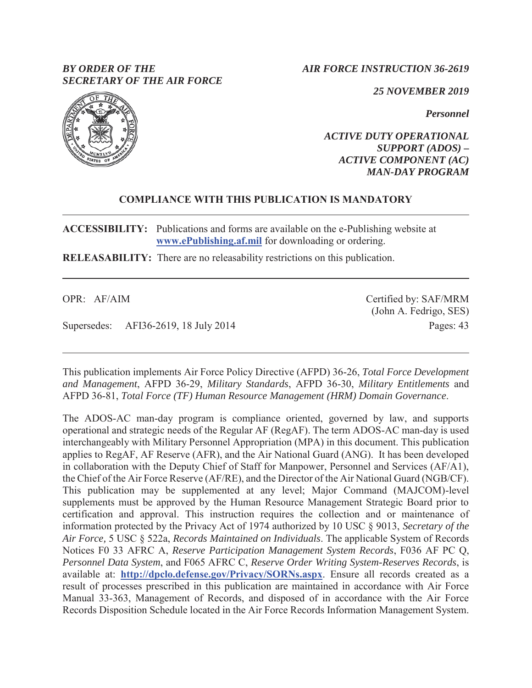*BY ORDER OF THE SECRETARY OF THE AIR FORCE*  *AIR FORCE INSTRUCTION 36-2619* 

*25 NOVEMBER 2019* 

*Personnel* 

*ACTIVE DUTY OPERATIONAL SUPPORT (ADOS) – ACTIVE COMPONENT (AC) MAN-DAY PROGRAM* 

## **COMPLIANCE WITH THIS PUBLICATION IS MANDATORY**

**ACCESSIBILITY:** Publications and forms are available on the e-Publishing website at **www.ePublishing.af.mil** for downloading or ordering.

**RELEASABILITY:** There are no releasability restrictions on this publication.

OPR: AF/AIM

Supersedes: AFI36-2619, 18 July 2014

Certified by: SAF/MRM (John A. Fedrigo, SES) Pages: 43

This publication implements Air Force Policy Directive (AFPD) 36-26, *Total Force Development and Management*, AFPD 36-29, *Military Standards*, AFPD 36-30, *Military Entitlements* and AFPD 36-81, *Total Force (TF) Human Resource Management (HRM) Domain Governance*.

The ADOS-AC man-day program is compliance oriented, governed by law, and supports operational and strategic needs of the Regular AF (RegAF). The term ADOS-AC man-day is used interchangeably with Military Personnel Appropriation (MPA) in this document. This publication applies to RegAF, AF Reserve (AFR), and the Air National Guard (ANG). It has been developed in collaboration with the Deputy Chief of Staff for Manpower, Personnel and Services (AF/A1), the Chief of the Air Force Reserve (AF/RE), and the Director of the Air National Guard (NGB/CF). This publication may be supplemented at any level; Major Command (MAJCOM)-level supplements must be approved by the Human Resource Management Strategic Board prior to certification and approval. This instruction requires the collection and or maintenance of information protected by the Privacy Act of 1974 authorized by 10 USC § 9013, *Secretary of the Air Force,* 5 USC § 522a, *Records Maintained on Individuals*. The applicable System of Records Notices F0 33 AFRC A, *Reserve Participation Management System Records*, F036 AF PC Q, *Personnel Data System*, and F065 AFRC C, *Reserve Order Writing System-Reserves Records*, is available at: **http://dpclo.defense.gov/Privacy/SORNs.aspx**. Ensure all records created as a result of processes prescribed in this publication are maintained in accordance with Air Force Manual 33-363, Management of Records, and disposed of in accordance with the Air Force Records Disposition Schedule located in the Air Force Records Information Management System.

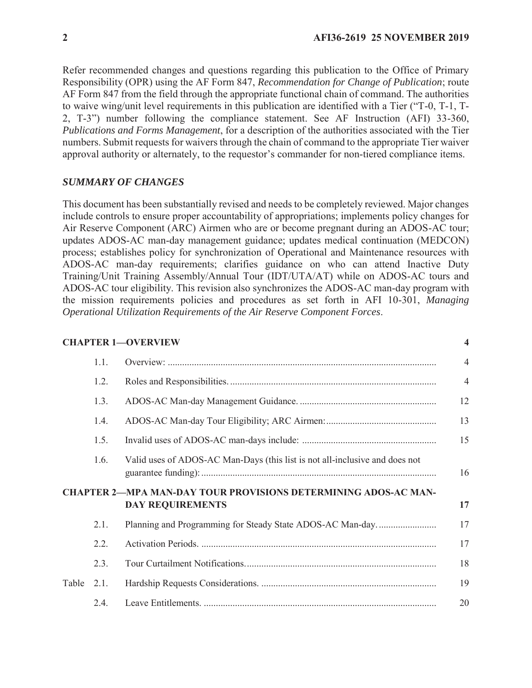Refer recommended changes and questions regarding this publication to the Office of Primary Responsibility (OPR) using the AF Form 847, *Recommendation for Change of Publication*; route AF Form 847 from the field through the appropriate functional chain of command. The authorities to waive wing/unit level requirements in this publication are identified with a Tier ("T-0, T-1, T-2, T-3") number following the compliance statement. See AF Instruction (AFI) 33-360, *Publications and Forms Management*, for a description of the authorities associated with the Tier numbers. Submit requests for waivers through the chain of command to the appropriate Tier waiver approval authority or alternately, to the requestor's commander for non-tiered compliance items.

### *SUMMARY OF CHANGES*

This document has been substantially revised and needs to be completely reviewed. Major changes include controls to ensure proper accountability of appropriations; implements policy changes for Air Reserve Component (ARC) Airmen who are or become pregnant during an ADOS-AC tour; updates ADOS-AC man-day management guidance; updates medical continuation (MEDCON) process; establishes policy for synchronization of Operational and Maintenance resources with ADOS-AC man-day requirements; clarifies guidance on who can attend Inactive Duty Training/Unit Training Assembly/Annual Tour (IDT/UTA/AT) while on ADOS-AC tours and ADOS-AC tour eligibility. This revision also synchronizes the ADOS-AC man-day program with the mission requirements policies and procedures as set forth in AFI 10-301, *Managing Operational Utilization Requirements of the Air Reserve Component Forces*.

#### **CHAPTER 1—OVERVIEW 4**

|       | 1.1. |                                                                                                  | $\overline{4}$ |
|-------|------|--------------------------------------------------------------------------------------------------|----------------|
|       | 1.2. |                                                                                                  | $\overline{4}$ |
|       | 1.3. |                                                                                                  | 12             |
|       | 1.4. |                                                                                                  | 13             |
|       | 1.5. |                                                                                                  | 15             |
|       | 1.6. | Valid uses of ADOS-AC Man-Days (this list is not all-inclusive and does not                      | 16             |
|       |      | <b>CHAPTER 2—MPA MAN-DAY TOUR PROVISIONS DETERMINING ADOS-AC MAN-</b><br><b>DAY REQUIREMENTS</b> | 17             |
|       | 2.1. | Planning and Programming for Steady State ADOS-AC Man-day                                        | 17             |
|       | 2.2. |                                                                                                  | 17             |
|       | 2.3. |                                                                                                  | 18             |
| Table | 2.1. |                                                                                                  | 19             |
|       | 2.4. |                                                                                                  | 20             |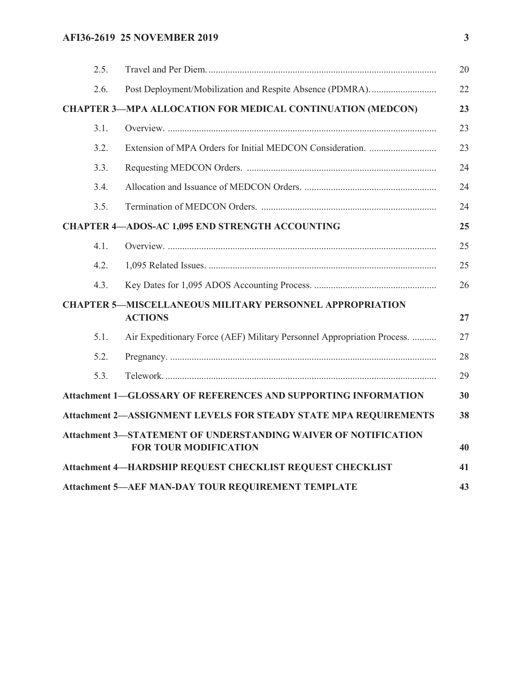# **AFI36-2619 25 NOVEMBER 2019 3**

|                                                                 | 2.5. |                                                                                                       | 20 |  |
|-----------------------------------------------------------------|------|-------------------------------------------------------------------------------------------------------|----|--|
|                                                                 | 2.6. |                                                                                                       | 22 |  |
|                                                                 |      | <b>CHAPTER 3-MPA ALLOCATION FOR MEDICAL CONTINUATION (MEDCON)</b>                                     | 23 |  |
|                                                                 | 3.1. |                                                                                                       | 23 |  |
|                                                                 | 3.2. |                                                                                                       | 23 |  |
|                                                                 | 3.3. |                                                                                                       | 24 |  |
|                                                                 | 3.4. |                                                                                                       | 24 |  |
|                                                                 | 3.5. |                                                                                                       | 24 |  |
|                                                                 |      | <b>CHAPTER 4-ADOS-AC 1,095 END STRENGTH ACCOUNTING</b>                                                | 25 |  |
|                                                                 | 4.1. |                                                                                                       | 25 |  |
|                                                                 | 4.2. |                                                                                                       | 25 |  |
|                                                                 | 4.3. |                                                                                                       | 26 |  |
|                                                                 |      | <b>CHAPTER 5-MISCELLANEOUS MILITARY PERSONNEL APPROPRIATION</b><br><b>ACTIONS</b>                     | 27 |  |
|                                                                 | 5.1. | Air Expeditionary Force (AEF) Military Personnel Appropriation Process.                               | 27 |  |
|                                                                 | 5.2. |                                                                                                       | 28 |  |
|                                                                 | 5.3. |                                                                                                       | 29 |  |
|                                                                 |      | <b>Attachment 1-GLOSSARY OF REFERENCES AND SUPPORTING INFORMATION</b>                                 | 30 |  |
|                                                                 |      | <b>Attachment 2-ASSIGNMENT LEVELS FOR STEADY STATE MPA REQUIREMENTS</b>                               | 38 |  |
|                                                                 |      | <b>Attachment 3-STATEMENT OF UNDERSTANDING WAIVER OF NOTIFICATION</b><br><b>FOR TOUR MODIFICATION</b> | 40 |  |
|                                                                 |      | Attachment 4-HARDSHIP REQUEST CHECKLIST REQUEST CHECKLIST                                             | 41 |  |
| <b>Attachment 5-AEF MAN-DAY TOUR REQUIREMENT TEMPLATE</b><br>43 |      |                                                                                                       |    |  |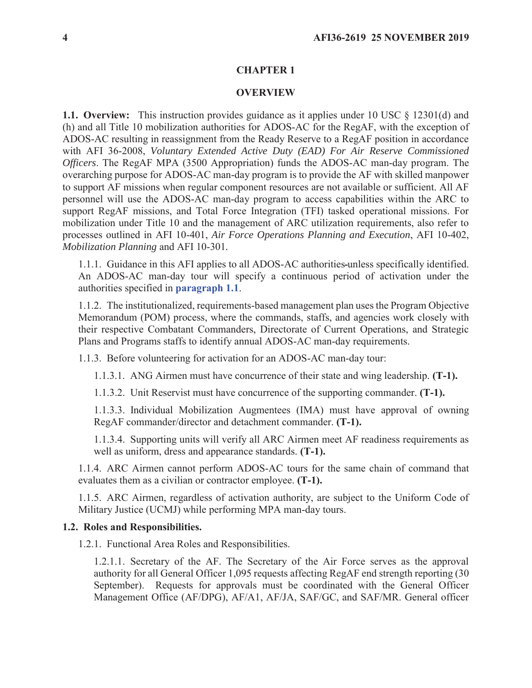#### **CHAPTER 1**

#### **OVERVIEW**

**1.1. Overview:** This instruction provides guidance as it applies under 10 USC § 12301(d) and (h) and all Title 10 mobilization authorities for ADOS-AC for the RegAF, with the exception of ADOS-AC resulting in reassignment from the Ready Reserve to a RegAF position in accordance with AFI 36-2008, *Voluntary Extended Active Duty (EAD) For Air Reserve Commissioned Officers*. The RegAF MPA (3500 Appropriation) funds the ADOS-AC man-day program. The overarching purpose for ADOS-AC man-day program is to provide the AF with skilled manpower to support AF missions when regular component resources are not available or sufficient. All AF personnel will use the ADOS-AC man-day program to access capabilities within the ARC to support RegAF missions, and Total Force Integration (TFI) tasked operational missions. For mobilization under Title 10 and the management of ARC utilization requirements, also refer to processes outlined in AFI 10-401, *Air Force Operations Planning and Execution*, AFI 10-402, *Mobilization Planning* and AFI 10-301*.*

1.1.1. Guidance in this AFI applies to all ADOS-AC authorities unless specifically identified. An ADOS-AC man-day tour will specify a continuous period of activation under the authorities specified in **paragraph 1.1**.

1.1.2. The institutionalized, requirements-based management plan uses the Program Objective Memorandum (POM) process, where the commands, staffs, and agencies work closely with their respective Combatant Commanders, Directorate of Current Operations, and Strategic Plans and Programs staffs to identify annual ADOS-AC man-day requirements.

1.1.3. Before volunteering for activation for an ADOS-AC man-day tour:

1.1.3.1. ANG Airmen must have concurrence of their state and wing leadership. **(T-1).**

1.1.3.2. Unit Reservist must have concurrence of the supporting commander. **(T-1).**

1.1.3.3. Individual Mobilization Augmentees (IMA) must have approval of owning RegAF commander/director and detachment commander. **(T-1).**

1.1.3.4. Supporting units will verify all ARC Airmen meet AF readiness requirements as well as uniform, dress and appearance standards. **(T-1).**

1.1.4. ARC Airmen cannot perform ADOS-AC tours for the same chain of command that evaluates them as a civilian or contractor employee. **(T-1).**

1.1.5. ARC Airmen, regardless of activation authority, are subject to the Uniform Code of Military Justice (UCMJ) while performing MPA man-day tours.

#### **1.2. Roles and Responsibilities.**

1.2.1. Functional Area Roles and Responsibilities.

1.2.1.1. Secretary of the AF. The Secretary of the Air Force serves as the approval authority for all General Officer 1,095 requests affecting RegAF end strength reporting (30 September). Requests for approvals must be coordinated with the General Officer Management Office (AF/DPG), AF/A1, AF/JA, SAF/GC, and SAF/MR. General officer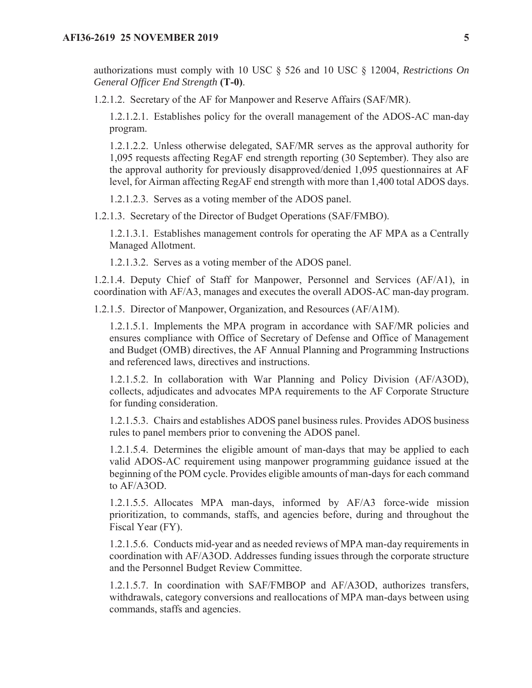authorizations must comply with 10 USC § 526 and 10 USC § 12004, *Restrictions On General Officer End Strength* **(T-0)**.

1.2.1.2. Secretary of the AF for Manpower and Reserve Affairs (SAF/MR).

1.2.1.2.1. Establishes policy for the overall management of the ADOS-AC man-day program.

1.2.1.2.2. Unless otherwise delegated, SAF/MR serves as the approval authority for 1,095 requests affecting RegAF end strength reporting (30 September). They also are the approval authority for previously disapproved/denied 1,095 questionnaires at AF level, for Airman affecting RegAF end strength with more than 1,400 total ADOS days.

1.2.1.2.3. Serves as a voting member of the ADOS panel.

1.2.1.3. Secretary of the Director of Budget Operations (SAF/FMBO).

1.2.1.3.1. Establishes management controls for operating the AF MPA as a Centrally Managed Allotment.

1.2.1.3.2. Serves as a voting member of the ADOS panel.

1.2.1.4. Deputy Chief of Staff for Manpower, Personnel and Services (AF/A1), in coordination with AF/A3, manages and executes the overall ADOS-AC man-day program.

1.2.1.5. Director of Manpower, Organization, and Resources (AF/A1M).

1.2.1.5.1. Implements the MPA program in accordance with SAF/MR policies and ensures compliance with Office of Secretary of Defense and Office of Management and Budget (OMB) directives, the AF Annual Planning and Programming Instructions and referenced laws, directives and instructions.

1.2.1.5.2. In collaboration with War Planning and Policy Division (AF/A3OD), collects, adjudicates and advocates MPA requirements to the AF Corporate Structure for funding consideration.

1.2.1.5.3. Chairs and establishes ADOS panel business rules. Provides ADOS business rules to panel members prior to convening the ADOS panel.

1.2.1.5.4. Determines the eligible amount of man-days that may be applied to each valid ADOS-AC requirement using manpower programming guidance issued at the beginning of the POM cycle. Provides eligible amounts of man-days for each command to AF/A3OD.

1.2.1.5.5. Allocates MPA man-days, informed by AF/A3 force-wide mission prioritization, to commands, staffs, and agencies before, during and throughout the Fiscal Year (FY).

1.2.1.5.6. Conducts mid-year and as needed reviews of MPA man-day requirements in coordination with AF/A3OD. Addresses funding issues through the corporate structure and the Personnel Budget Review Committee.

1.2.1.5.7. In coordination with SAF/FMBOP and AF/A3OD, authorizes transfers, withdrawals, category conversions and reallocations of MPA man-days between using commands, staffs and agencies.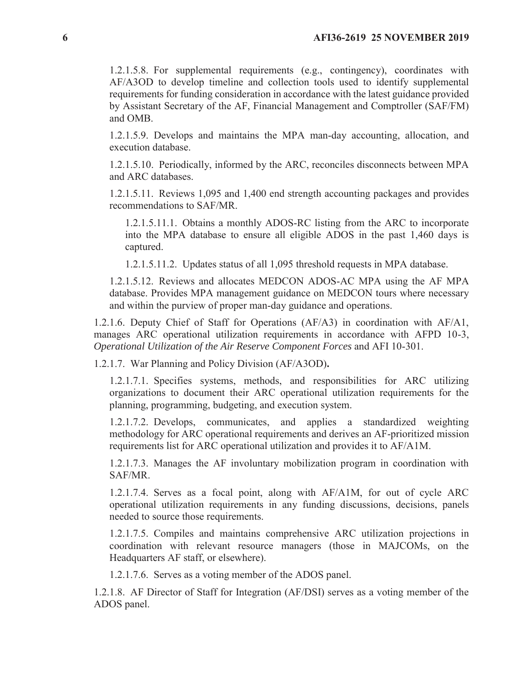1.2.1.5.8. For supplemental requirements (e.g., contingency), coordinates with AF/A3OD to develop timeline and collection tools used to identify supplemental requirements for funding consideration in accordance with the latest guidance provided by Assistant Secretary of the AF, Financial Management and Comptroller (SAF/FM) and OMB.

1.2.1.5.9. Develops and maintains the MPA man-day accounting, allocation, and execution database.

1.2.1.5.10. Periodically, informed by the ARC, reconciles disconnects between MPA and ARC databases.

1.2.1.5.11. Reviews 1,095 and 1,400 end strength accounting packages and provides recommendations to SAF/MR.

1.2.1.5.11.1. Obtains a monthly ADOS-RC listing from the ARC to incorporate into the MPA database to ensure all eligible ADOS in the past 1,460 days is captured.

1.2.1.5.11.2. Updates status of all 1,095 threshold requests in MPA database.

1.2.1.5.12. Reviews and allocates MEDCON ADOS-AC MPA using the AF MPA database. Provides MPA management guidance on MEDCON tours where necessary and within the purview of proper man-day guidance and operations.

1.2.1.6. Deputy Chief of Staff for Operations (AF/A3) in coordination with AF/A1, manages ARC operational utilization requirements in accordance with AFPD 10-3, *Operational Utilization of the Air Reserve Component Forces* and AFI 10-301.

1.2.1.7. War Planning and Policy Division (AF/A3OD)**.**

1.2.1.7.1. Specifies systems, methods, and responsibilities for ARC utilizing organizations to document their ARC operational utilization requirements for the planning, programming, budgeting, and execution system.

1.2.1.7.2. Develops, communicates, and applies a standardized weighting methodology for ARC operational requirements and derives an AF-prioritized mission requirements list for ARC operational utilization and provides it to AF/A1M.

1.2.1.7.3. Manages the AF involuntary mobilization program in coordination with SAF/MR.

1.2.1.7.4. Serves as a focal point, along with AF/A1M, for out of cycle ARC operational utilization requirements in any funding discussions, decisions, panels needed to source those requirements.

1.2.1.7.5. Compiles and maintains comprehensive ARC utilization projections in coordination with relevant resource managers (those in MAJCOMs, on the Headquarters AF staff, or elsewhere).

1.2.1.7.6. Serves as a voting member of the ADOS panel.

1.2.1.8. AF Director of Staff for Integration (AF/DSI) serves as a voting member of the ADOS panel.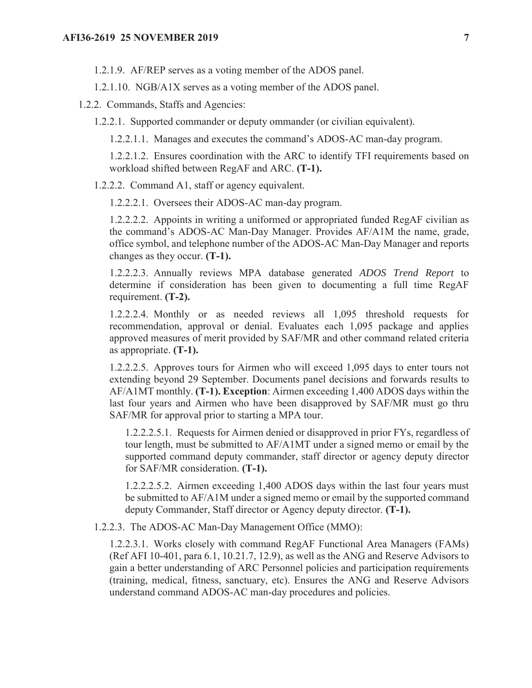1.2.1.9. AF/REP serves as a voting member of the ADOS panel.

1.2.1.10. NGB/A1X serves as a voting member of the ADOS panel.

1.2.2. Commands, Staffs and Agencies:

1.2.2.1. Supported commander or deputy ommander (or civilian equivalent).

1.2.2.1.1. Manages and executes the command's ADOS-AC man-day program.

1.2.2.1.2. Ensures coordination with the ARC to identify TFI requirements based on workload shifted between RegAF and ARC. **(T-1).**

1.2.2.2. Command A1, staff or agency equivalent.

1.2.2.2.1. Oversees their ADOS-AC man-day program.

1.2.2.2.2. Appoints in writing a uniformed or appropriated funded RegAF civilian as the command's ADOS-AC Man-Day Manager. Provides AF/A1M the name, grade, office symbol, and telephone number of the ADOS-AC Man-Day Manager and reports changes as they occur. **(T-1).**

1.2.2.2.3. Annually reviews MPA database generated *ADOS Trend Report* to determine if consideration has been given to documenting a full time RegAF requirement. **(T-2).**

1.2.2.2.4. Monthly or as needed reviews all 1,095 threshold requests for recommendation, approval or denial. Evaluates each 1,095 package and applies approved measures of merit provided by SAF/MR and other command related criteria as appropriate. **(T-1).**

1.2.2.2.5. Approves tours for Airmen who will exceed 1,095 days to enter tours not extending beyond 29 September. Documents panel decisions and forwards results to AF/A1MT monthly. **(T-1). Exception**: Airmen exceeding 1,400 ADOS days within the last four years and Airmen who have been disapproved by SAF/MR must go thru SAF/MR for approval prior to starting a MPA tour.

1.2.2.2.5.1. Requests for Airmen denied or disapproved in prior FYs, regardless of tour length, must be submitted to AF/A1MT under a signed memo or email by the supported command deputy commander, staff director or agency deputy director for SAF/MR consideration. **(T-1).**

1.2.2.2.5.2. Airmen exceeding 1,400 ADOS days within the last four years must be submitted to AF/A1M under a signed memo or email by the supported command deputy Commander, Staff director or Agency deputy director. **(T-1).**

1.2.2.3. The ADOS-AC Man-Day Management Office (MMO):

1.2.2.3.1. Works closely with command RegAF Functional Area Managers (FAMs) (Ref AFI 10-401, para 6.1, 10.21.7, 12.9), as well as the ANG and Reserve Advisors to gain a better understanding of ARC Personnel policies and participation requirements (training, medical, fitness, sanctuary, etc). Ensures the ANG and Reserve Advisors understand command ADOS-AC man-day procedures and policies.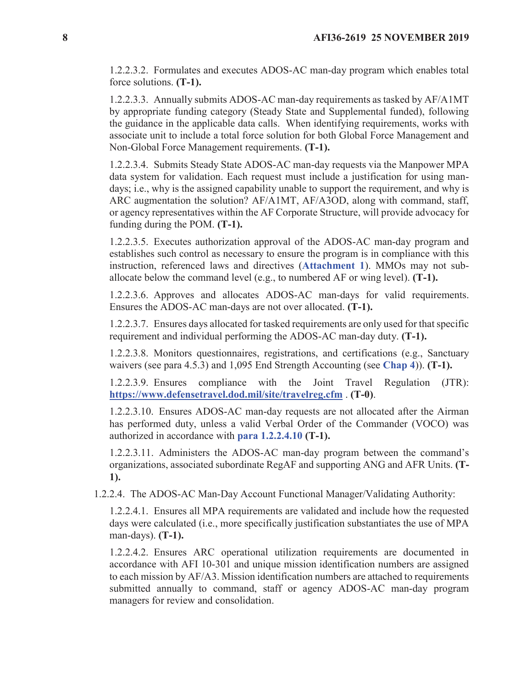1.2.2.3.2. Formulates and executes ADOS-AC man-day program which enables total force solutions. **(T-1).**

1.2.2.3.3. Annually submits ADOS-AC man-day requirements as tasked by AF/A1MT by appropriate funding category (Steady State and Supplemental funded), following the guidance in the applicable data calls. When identifying requirements, works with associate unit to include a total force solution for both Global Force Management and Non-Global Force Management requirements. **(T-1).**

1.2.2.3.4. Submits Steady State ADOS-AC man-day requests via the Manpower MPA data system for validation. Each request must include a justification for using mandays; i.e., why is the assigned capability unable to support the requirement, and why is ARC augmentation the solution? AF/A1MT, AF/A3OD, along with command, staff, or agency representatives within the AF Corporate Structure, will provide advocacy for funding during the POM. **(T-1).**

1.2.2.3.5. Executes authorization approval of the ADOS-AC man-day program and establishes such control as necessary to ensure the program is in compliance with this instruction, referenced laws and directives (**Attachment 1**). MMOs may not suballocate below the command level (e.g., to numbered AF or wing level). **(T-1).**

1.2.2.3.6. Approves and allocates ADOS-AC man-days for valid requirements. Ensures the ADOS-AC man-days are not over allocated. **(T-1).**

1.2.2.3.7. Ensures days allocated for tasked requirements are only used for that specific requirement and individual performing the ADOS-AC man-day duty. **(T-1).**

1.2.2.3.8. Monitors questionnaires, registrations, and certifications (e.g., Sanctuary waivers (see para 4.5.3) and 1,095 End Strength Accounting (see **Chap 4**)). **(T-1).**

1.2.2.3.9. Ensures compliance with the Joint Travel Regulation (JTR): **https://www.defensetravel.dod.mil/site/travelreg.cfm** . **(T-0)**.

1.2.2.3.10. Ensures ADOS-AC man-day requests are not allocated after the Airman has performed duty, unless a valid Verbal Order of the Commander (VOCO) was authorized in accordance with **para 1.2.2.4.10 (T-1).**

1.2.2.3.11. Administers the ADOS-AC man-day program between the command's organizations, associated subordinate RegAF and supporting ANG and AFR Units. **(T-1).**

1.2.2.4. The ADOS-AC Man-Day Account Functional Manager/Validating Authority:

1.2.2.4.1. Ensures all MPA requirements are validated and include how the requested days were calculated (i.e., more specifically justification substantiates the use of MPA man-days). **(T-1).**

1.2.2.4.2. Ensures ARC operational utilization requirements are documented in accordance with AFI 10-301 and unique mission identification numbers are assigned to each mission by AF/A3. Mission identification numbers are attached to requirements submitted annually to command, staff or agency ADOS-AC man-day program managers for review and consolidation.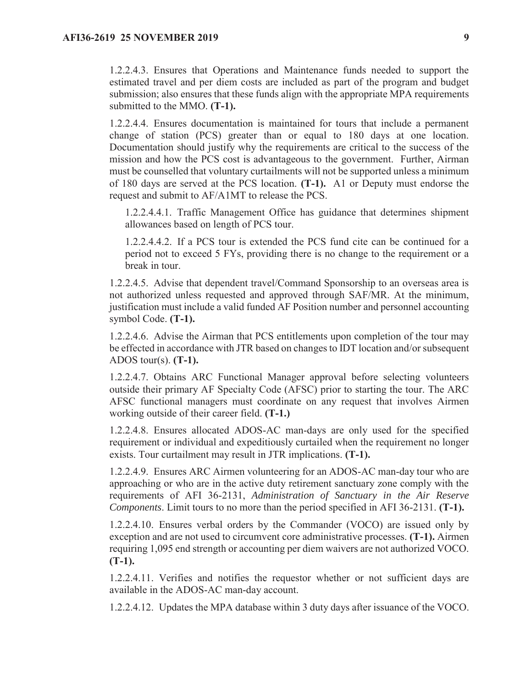1.2.2.4.3. Ensures that Operations and Maintenance funds needed to support the estimated travel and per diem costs are included as part of the program and budget submission; also ensures that these funds align with the appropriate MPA requirements submitted to the MMO. **(T-1).**

1.2.2.4.4. Ensures documentation is maintained for tours that include a permanent change of station (PCS) greater than or equal to 180 days at one location. Documentation should justify why the requirements are critical to the success of the mission and how the PCS cost is advantageous to the government. Further, Airman must be counselled that voluntary curtailments will not be supported unless a minimum of 180 days are served at the PCS location. **(T-1).** A1 or Deputy must endorse the request and submit to AF/A1MT to release the PCS.

1.2.2.4.4.1. Traffic Management Office has guidance that determines shipment allowances based on length of PCS tour.

1.2.2.4.4.2. If a PCS tour is extended the PCS fund cite can be continued for a period not to exceed 5 FYs, providing there is no change to the requirement or a break in tour.

1.2.2.4.5. Advise that dependent travel/Command Sponsorship to an overseas area is not authorized unless requested and approved through SAF/MR. At the minimum, justification must include a valid funded AF Position number and personnel accounting symbol Code. **(T-1).**

1.2.2.4.6. Advise the Airman that PCS entitlements upon completion of the tour may be effected in accordance with JTR based on changes to IDT location and/or subsequent ADOS tour(s). **(T-1).**

1.2.2.4.7. Obtains ARC Functional Manager approval before selecting volunteers outside their primary AF Specialty Code (AFSC) prior to starting the tour. The ARC AFSC functional managers must coordinate on any request that involves Airmen working outside of their career field. **(T-1.)**

1.2.2.4.8. Ensures allocated ADOS-AC man-days are only used for the specified requirement or individual and expeditiously curtailed when the requirement no longer exists. Tour curtailment may result in JTR implications. **(T-1).**

1.2.2.4.9. Ensures ARC Airmen volunteering for an ADOS-AC man-day tour who are approaching or who are in the active duty retirement sanctuary zone comply with the requirements of AFI 36-2131, *Administration of Sanctuary in the Air Reserve Components*. Limit tours to no more than the period specified in AFI 36-2131. **(T-1).**

1.2.2.4.10. Ensures verbal orders by the Commander (VOCO) are issued only by exception and are not used to circumvent core administrative processes. **(T-1).** Airmen requiring 1,095 end strength or accounting per diem waivers are not authorized VOCO. **(T-1).**

1.2.2.4.11. Verifies and notifies the requestor whether or not sufficient days are available in the ADOS-AC man-day account.

1.2.2.4.12. Updates the MPA database within 3 duty days after issuance of the VOCO.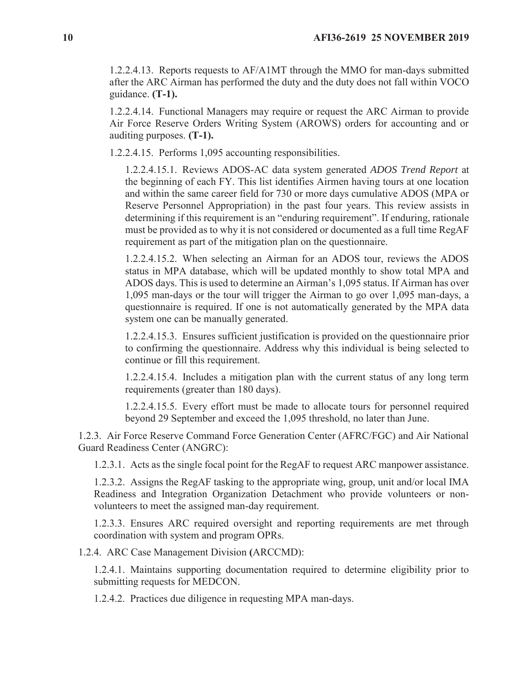1.2.2.4.13. Reports requests to AF/A1MT through the MMO for man-days submitted after the ARC Airman has performed the duty and the duty does not fall within VOCO guidance. **(T-1).**

1.2.2.4.14. Functional Managers may require or request the ARC Airman to provide Air Force Reserve Orders Writing System (AROWS) orders for accounting and or auditing purposes. **(T-1).**

1.2.2.4.15. Performs 1,095 accounting responsibilities.

1.2.2.4.15.1. Reviews ADOS-AC data system generated *ADOS Trend Report* at the beginning of each FY. This list identifies Airmen having tours at one location and within the same career field for 730 or more days cumulative ADOS (MPA or Reserve Personnel Appropriation) in the past four years. This review assists in determining if this requirement is an "enduring requirement". If enduring, rationale must be provided as to why it is not considered or documented as a full time RegAF requirement as part of the mitigation plan on the questionnaire.

1.2.2.4.15.2. When selecting an Airman for an ADOS tour, reviews the ADOS status in MPA database, which will be updated monthly to show total MPA and ADOS days. This is used to determine an Airman's 1,095 status. If Airman has over 1,095 man-days or the tour will trigger the Airman to go over 1,095 man-days, a questionnaire is required. If one is not automatically generated by the MPA data system one can be manually generated.

1.2.2.4.15.3. Ensures sufficient justification is provided on the questionnaire prior to confirming the questionnaire. Address why this individual is being selected to continue or fill this requirement.

1.2.2.4.15.4. Includes a mitigation plan with the current status of any long term requirements (greater than 180 days).

1.2.2.4.15.5. Every effort must be made to allocate tours for personnel required beyond 29 September and exceed the 1,095 threshold, no later than June.

1.2.3. Air Force Reserve Command Force Generation Center (AFRC/FGC) and Air National Guard Readiness Center (ANGRC):

1.2.3.1. Acts as the single focal point for the RegAF to request ARC manpower assistance.

1.2.3.2. Assigns the RegAF tasking to the appropriate wing, group, unit and/or local IMA Readiness and Integration Organization Detachment who provide volunteers or nonvolunteers to meet the assigned man-day requirement.

1.2.3.3. Ensures ARC required oversight and reporting requirements are met through coordination with system and program OPRs.

1.2.4. ARC Case Management Division **(**ARCCMD):

1.2.4.1. Maintains supporting documentation required to determine eligibility prior to submitting requests for MEDCON.

1.2.4.2. Practices due diligence in requesting MPA man-days.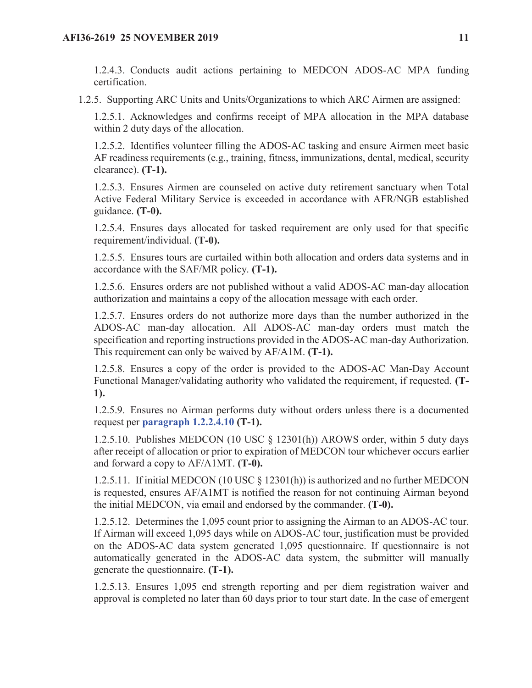1.2.4.3. Conducts audit actions pertaining to MEDCON ADOS-AC MPA funding certification.

1.2.5. Supporting ARC Units and Units/Organizations to which ARC Airmen are assigned:

1.2.5.1. Acknowledges and confirms receipt of MPA allocation in the MPA database within 2 duty days of the allocation.

1.2.5.2. Identifies volunteer filling the ADOS-AC tasking and ensure Airmen meet basic AF readiness requirements (e.g., training, fitness, immunizations, dental, medical, security clearance). **(T-1).**

1.2.5.3. Ensures Airmen are counseled on active duty retirement sanctuary when Total Active Federal Military Service is exceeded in accordance with AFR/NGB established guidance. **(T-0).**

1.2.5.4. Ensures days allocated for tasked requirement are only used for that specific requirement/individual. **(T-0).**

1.2.5.5. Ensures tours are curtailed within both allocation and orders data systems and in accordance with the SAF/MR policy. **(T-1).**

1.2.5.6. Ensures orders are not published without a valid ADOS-AC man-day allocation authorization and maintains a copy of the allocation message with each order.

1.2.5.7. Ensures orders do not authorize more days than the number authorized in the ADOS-AC man-day allocation. All ADOS-AC man-day orders must match the specification and reporting instructions provided in the ADOS-AC man-day Authorization. This requirement can only be waived by AF/A1M. **(T-1).**

1.2.5.8. Ensures a copy of the order is provided to the ADOS-AC Man-Day Account Functional Manager/validating authority who validated the requirement, if requested. **(T-1).**

1.2.5.9. Ensures no Airman performs duty without orders unless there is a documented request per **paragraph 1.2.2.4.10 (T-1).**

1.2.5.10. Publishes MEDCON (10 USC § 12301(h)) AROWS order, within 5 duty days after receipt of allocation or prior to expiration of MEDCON tour whichever occurs earlier and forward a copy to AF/A1MT. **(T-0).**

1.2.5.11. If initial MEDCON (10 USC § 12301(h)) is authorized and no further MEDCON is requested, ensures AF/A1MT is notified the reason for not continuing Airman beyond the initial MEDCON, via email and endorsed by the commander. **(T-0).**

1.2.5.12. Determines the 1,095 count prior to assigning the Airman to an ADOS-AC tour. If Airman will exceed 1,095 days while on ADOS-AC tour, justification must be provided on the ADOS-AC data system generated 1,095 questionnaire. If questionnaire is not automatically generated in the ADOS-AC data system, the submitter will manually generate the questionnaire. **(T-1).**

1.2.5.13. Ensures 1,095 end strength reporting and per diem registration waiver and approval is completed no later than 60 days prior to tour start date. In the case of emergent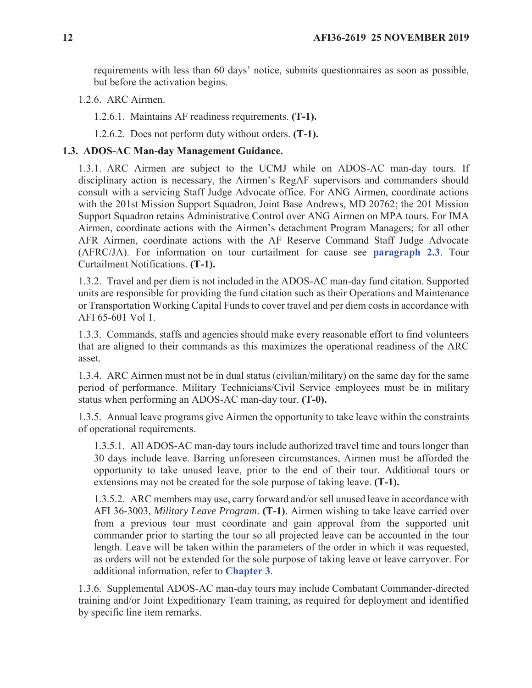requirements with less than 60 days' notice, submits questionnaires as soon as possible, but before the activation begins.

1.2.6. ARC Airmen.

1.2.6.1. Maintains AF readiness requirements. **(T-1).**

1.2.6.2. Does not perform duty without orders. **(T-1).**

#### **1.3. ADOS-AC Man-day Management Guidance.**

1.3.1. ARC Airmen are subject to the UCMJ while on ADOS-AC man-day tours. If disciplinary action is necessary, the Airmen's RegAF supervisors and commanders should consult with a servicing Staff Judge Advocate office. For ANG Airmen, coordinate actions with the 201st Mission Support Squadron, Joint Base Andrews, MD 20762; the 201 Mission Support Squadron retains Administrative Control over ANG Airmen on MPA tours. For IMA Airmen, coordinate actions with the Airmen's detachment Program Managers; for all other AFR Airmen, coordinate actions with the AF Reserve Command Staff Judge Advocate (AFRC/JA). For information on tour curtailment for cause see **paragraph 2.3**. Tour Curtailment Notifications. **(T-1).**

1.3.2. Travel and per diem is not included in the ADOS-AC man-day fund citation. Supported units are responsible for providing the fund citation such as their Operations and Maintenance or Transportation Working Capital Funds to cover travel and per diem costs in accordance with AFI 65-601 Vol 1.

1.3.3. Commands, staffs and agencies should make every reasonable effort to find volunteers that are aligned to their commands as this maximizes the operational readiness of the ARC asset.

1.3.4. ARC Airmen must not be in dual status (civilian/military) on the same day for the same period of performance. Military Technicians/Civil Service employees must be in military status when performing an ADOS-AC man-day tour. **(T-0).**

1.3.5. Annual leave programs give Airmen the opportunity to take leave within the constraints of operational requirements.

1.3.5.1. All ADOS-AC man-day tours include authorized travel time and tours longer than 30 days include leave. Barring unforeseen circumstances, Airmen must be afforded the opportunity to take unused leave, prior to the end of their tour. Additional tours or extensions may not be created for the sole purpose of taking leave. **(T-1).**

1.3.5.2. ARC members may use, carry forward and/or sell unused leave in accordance with AFI 36-3003, *Military Leave Program*. **(T-1)**. Airmen wishing to take leave carried over from a previous tour must coordinate and gain approval from the supported unit commander prior to starting the tour so all projected leave can be accounted in the tour length. Leave will be taken within the parameters of the order in which it was requested, as orders will not be extended for the sole purpose of taking leave or leave carryover. For additional information, refer to **Chapter 3**.

1.3.6. Supplemental ADOS-AC man-day tours may include Combatant Commander-directed training and/or Joint Expeditionary Team training, as required for deployment and identified by specific line item remarks.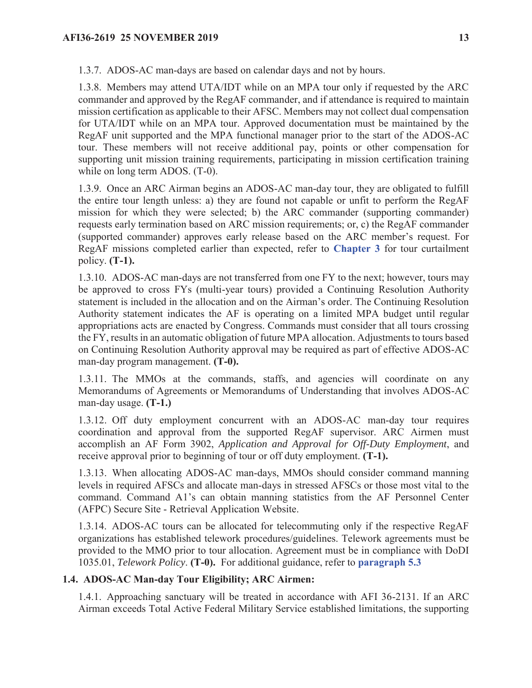1.3.7. ADOS-AC man-days are based on calendar days and not by hours.

1.3.8. Members may attend UTA/IDT while on an MPA tour only if requested by the ARC commander and approved by the RegAF commander, and if attendance is required to maintain mission certification as applicable to their AFSC. Members may not collect dual compensation for UTA/IDT while on an MPA tour. Approved documentation must be maintained by the RegAF unit supported and the MPA functional manager prior to the start of the ADOS-AC tour. These members will not receive additional pay, points or other compensation for supporting unit mission training requirements, participating in mission certification training while on long term ADOS. (T-0).

1.3.9. Once an ARC Airman begins an ADOS-AC man-day tour, they are obligated to fulfill the entire tour length unless: a) they are found not capable or unfit to perform the RegAF mission for which they were selected; b) the ARC commander (supporting commander) requests early termination based on ARC mission requirements; or, c) the RegAF commander (supported commander) approves early release based on the ARC member's request. For RegAF missions completed earlier than expected, refer to **Chapter 3** for tour curtailment policy. **(T-1).**

1.3.10. ADOS-AC man-days are not transferred from one FY to the next; however, tours may be approved to cross FYs (multi-year tours) provided a Continuing Resolution Authority statement is included in the allocation and on the Airman's order. The Continuing Resolution Authority statement indicates the AF is operating on a limited MPA budget until regular appropriations acts are enacted by Congress. Commands must consider that all tours crossing the FY, results in an automatic obligation of future MPA allocation. Adjustments to tours based on Continuing Resolution Authority approval may be required as part of effective ADOS-AC man-day program management. **(T-0).**

1.3.11. The MMOs at the commands, staffs, and agencies will coordinate on any Memorandums of Agreements or Memorandums of Understanding that involves ADOS-AC man-day usage. **(T-1.)**

1.3.12. Off duty employment concurrent with an ADOS-AC man-day tour requires coordination and approval from the supported RegAF supervisor. ARC Airmen must accomplish an AF Form 3902, *Application and Approval for Off-Duty Employment*, and receive approval prior to beginning of tour or off duty employment. **(T-1).**

1.3.13. When allocating ADOS-AC man-days, MMOs should consider command manning levels in required AFSCs and allocate man-days in stressed AFSCs or those most vital to the command. Command A1's can obtain manning statistics from the AF Personnel Center (AFPC) Secure Site - Retrieval Application Website.

1.3.14. ADOS-AC tours can be allocated for telecommuting only if the respective RegAF organizations has established telework procedures/guidelines. Telework agreements must be provided to the MMO prior to tour allocation. Agreement must be in compliance with DoDI 1035.01, *Telework Policy*. **(T-0).** For additional guidance, refer to **paragraph 5.3**

## **1.4. ADOS-AC Man-day Tour Eligibility; ARC Airmen:**

1.4.1. Approaching sanctuary will be treated in accordance with AFI 36-2131. If an ARC Airman exceeds Total Active Federal Military Service established limitations, the supporting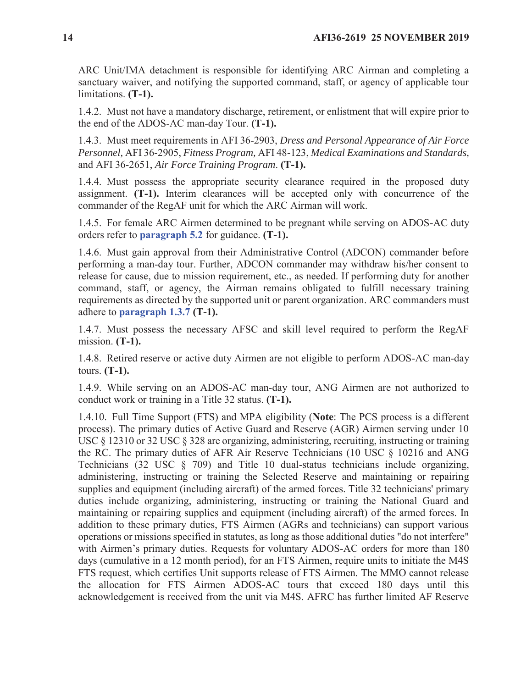ARC Unit/IMA detachment is responsible for identifying ARC Airman and completing a sanctuary waiver, and notifying the supported command, staff, or agency of applicable tour limitations. **(T-1).**

1.4.2. Must not have a mandatory discharge, retirement, or enlistment that will expire prior to the end of the ADOS-AC man-day Tour. **(T-1).**

1.4.3. Must meet requirements in AFI 36-2903, *Dress and Personal Appearance of Air Force Personnel,* AFI 36-2905, *Fitness Program,* AFI 48-123, *Medical Examinations and Standards,*  and AFI 36-2651, *Air Force Training Program*. **(T-1).**

1.4.4. Must possess the appropriate security clearance required in the proposed duty assignment. **(T-1).** Interim clearances will be accepted only with concurrence of the commander of the RegAF unit for which the ARC Airman will work.

1.4.5. For female ARC Airmen determined to be pregnant while serving on ADOS-AC duty orders refer to **paragraph 5.2** for guidance. **(T-1).**

1.4.6. Must gain approval from their Administrative Control (ADCON) commander before performing a man-day tour. Further, ADCON commander may withdraw his/her consent to release for cause, due to mission requirement, etc., as needed. If performing duty for another command, staff, or agency, the Airman remains obligated to fulfill necessary training requirements as directed by the supported unit or parent organization. ARC commanders must adhere to **paragraph 1.3.7 (T-1).**

1.4.7. Must possess the necessary AFSC and skill level required to perform the RegAF mission. **(T-1).**

1.4.8. Retired reserve or active duty Airmen are not eligible to perform ADOS-AC man-day tours. **(T-1).**

1.4.9. While serving on an ADOS-AC man-day tour, ANG Airmen are not authorized to conduct work or training in a Title 32 status. **(T-1).** 

1.4.10. Full Time Support (FTS) and MPA eligibility (**Note**: The PCS process is a different process). The primary duties of Active Guard and Reserve (AGR) Airmen serving under 10 USC § 12310 or 32 USC § 328 are organizing, administering, recruiting, instructing or training the RC. The primary duties of AFR Air Reserve Technicians (10 USC § 10216 and ANG Technicians (32 USC § 709) and Title 10 dual-status technicians include organizing, administering, instructing or training the Selected Reserve and maintaining or repairing supplies and equipment (including aircraft) of the armed forces. Title 32 technicians' primary duties include organizing, administering, instructing or training the National Guard and maintaining or repairing supplies and equipment (including aircraft) of the armed forces. In addition to these primary duties, FTS Airmen (AGRs and technicians) can support various operations or missions specified in statutes, as long as those additional duties "do not interfere" with Airmen's primary duties. Requests for voluntary ADOS-AC orders for more than 180 days (cumulative in a 12 month period), for an FTS Airmen, require units to initiate the M4S FTS request, which certifies Unit supports release of FTS Airmen. The MMO cannot release the allocation for FTS Airmen ADOS-AC tours that exceed 180 days until this acknowledgement is received from the unit via M4S. AFRC has further limited AF Reserve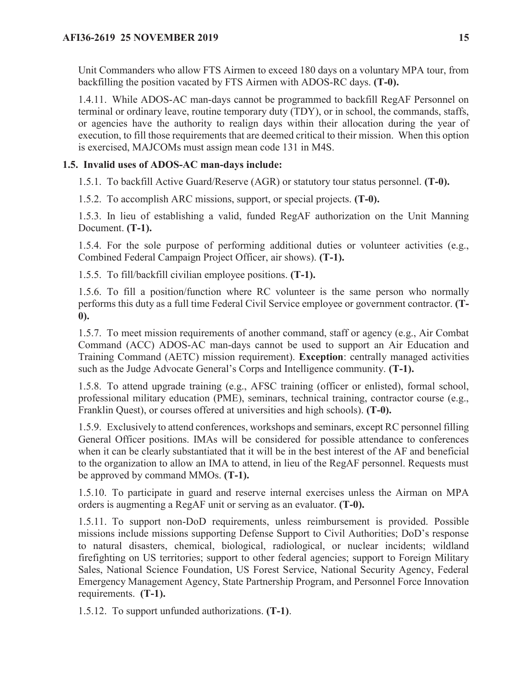Unit Commanders who allow FTS Airmen to exceed 180 days on a voluntary MPA tour, from backfilling the position vacated by FTS Airmen with ADOS-RC days. **(T-0).**

1.4.11. While ADOS-AC man-days cannot be programmed to backfill RegAF Personnel on terminal or ordinary leave, routine temporary duty (TDY), or in school, the commands, staffs, or agencies have the authority to realign days within their allocation during the year of execution, to fill those requirements that are deemed critical to their mission. When this option is exercised, MAJCOMs must assign mean code 131 in M4S.

# **1.5. Invalid uses of ADOS-AC man-days include:**

1.5.1. To backfill Active Guard/Reserve (AGR) or statutory tour status personnel. **(T-0).**

1.5.2. To accomplish ARC missions, support, or special projects. **(T-0).**

1.5.3. In lieu of establishing a valid, funded RegAF authorization on the Unit Manning Document. **(T-1).**

1.5.4. For the sole purpose of performing additional duties or volunteer activities (e.g., Combined Federal Campaign Project Officer, air shows). **(T-1).**

1.5.5. To fill/backfill civilian employee positions. **(T-1).**

1.5.6. To fill a position/function where RC volunteer is the same person who normally performs this duty as a full time Federal Civil Service employee or government contractor. **(T-0).**

1.5.7. To meet mission requirements of another command, staff or agency (e.g., Air Combat Command (ACC) ADOS-AC man-days cannot be used to support an Air Education and Training Command (AETC) mission requirement). **Exception**: centrally managed activities such as the Judge Advocate General's Corps and Intelligence community. **(T-1).**

1.5.8. To attend upgrade training (e.g., AFSC training (officer or enlisted), formal school, professional military education (PME), seminars, technical training, contractor course (e.g., Franklin Quest), or courses offered at universities and high schools). **(T-0).**

1.5.9. Exclusively to attend conferences, workshops and seminars, except RC personnel filling General Officer positions. IMAs will be considered for possible attendance to conferences when it can be clearly substantiated that it will be in the best interest of the AF and beneficial to the organization to allow an IMA to attend, in lieu of the RegAF personnel. Requests must be approved by command MMOs. **(T-1).**

1.5.10. To participate in guard and reserve internal exercises unless the Airman on MPA orders is augmenting a RegAF unit or serving as an evaluator. **(T-0).**

1.5.11. To support non-DoD requirements, unless reimbursement is provided. Possible missions include missions supporting Defense Support to Civil Authorities; DoD's response to natural disasters, chemical, biological, radiological, or nuclear incidents; wildland firefighting on US territories; support to other federal agencies; support to Foreign Military Sales, National Science Foundation, US Forest Service, National Security Agency, Federal Emergency Management Agency, State Partnership Program, and Personnel Force Innovation requirements. **(T-1).**

1.5.12. To support unfunded authorizations. **(T-1)**.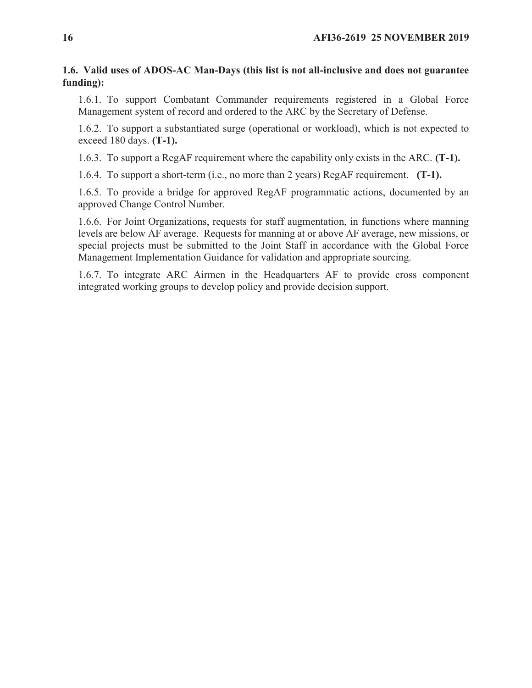## **1.6. Valid uses of ADOS-AC Man-Days (this list is not all-inclusive and does not guarantee funding):**

1.6.1. To support Combatant Commander requirements registered in a Global Force Management system of record and ordered to the ARC by the Secretary of Defense.

1.6.2. To support a substantiated surge (operational or workload), which is not expected to exceed 180 days. **(T-1).**

1.6.3. To support a RegAF requirement where the capability only exists in the ARC. **(T-1).**

1.6.4. To support a short-term (i.e., no more than 2 years) RegAF requirement. **(T-1).**

1.6.5. To provide a bridge for approved RegAF programmatic actions, documented by an approved Change Control Number.

1.6.6. For Joint Organizations, requests for staff augmentation, in functions where manning levels are below AF average. Requests for manning at or above AF average, new missions, or special projects must be submitted to the Joint Staff in accordance with the Global Force Management Implementation Guidance for validation and appropriate sourcing.

1.6.7. To integrate ARC Airmen in the Headquarters AF to provide cross component integrated working groups to develop policy and provide decision support.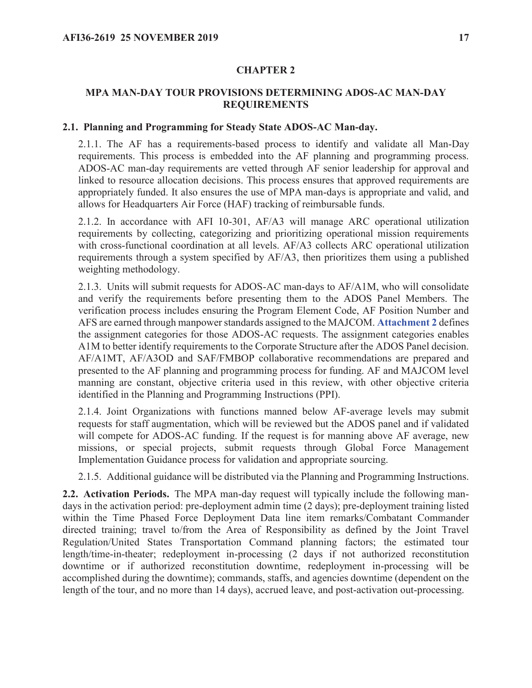## **CHAPTER 2**

### **MPA MAN-DAY TOUR PROVISIONS DETERMINING ADOS-AC MAN-DAY REQUIREMENTS**

#### **2.1. Planning and Programming for Steady State ADOS-AC Man-day.**

2.1.1. The AF has a requirements-based process to identify and validate all Man-Day requirements. This process is embedded into the AF planning and programming process. ADOS-AC man-day requirements are vetted through AF senior leadership for approval and linked to resource allocation decisions. This process ensures that approved requirements are appropriately funded. It also ensures the use of MPA man-days is appropriate and valid, and allows for Headquarters Air Force (HAF) tracking of reimbursable funds.

2.1.2. In accordance with AFI 10-301, AF/A3 will manage ARC operational utilization requirements by collecting, categorizing and prioritizing operational mission requirements with cross-functional coordination at all levels. AF/A3 collects ARC operational utilization requirements through a system specified by AF/A3, then prioritizes them using a published weighting methodology.

2.1.3. Units will submit requests for ADOS-AC man-days to AF/A1M, who will consolidate and verify the requirements before presenting them to the ADOS Panel Members. The verification process includes ensuring the Program Element Code, AF Position Number and AFS are earned through manpower standards assigned to the MAJCOM. **Attachment 2** defines the assignment categories for those ADOS-AC requests. The assignment categories enables A1M to better identify requirements to the Corporate Structure after the ADOS Panel decision. AF/A1MT, AF/A3OD and SAF/FMBOP collaborative recommendations are prepared and presented to the AF planning and programming process for funding. AF and MAJCOM level manning are constant, objective criteria used in this review, with other objective criteria identified in the Planning and Programming Instructions (PPI).

2.1.4. Joint Organizations with functions manned below AF-average levels may submit requests for staff augmentation, which will be reviewed but the ADOS panel and if validated will compete for ADOS-AC funding. If the request is for manning above AF average, new missions, or special projects, submit requests through Global Force Management Implementation Guidance process for validation and appropriate sourcing.

2.1.5. Additional guidance will be distributed via the Planning and Programming Instructions.

**2.2. Activation Periods.** The MPA man-day request will typically include the following mandays in the activation period: pre-deployment admin time (2 days); pre-deployment training listed within the Time Phased Force Deployment Data line item remarks/Combatant Commander directed training; travel to/from the Area of Responsibility as defined by the Joint Travel Regulation/United States Transportation Command planning factors; the estimated tour length/time-in-theater; redeployment in-processing (2 days if not authorized reconstitution downtime or if authorized reconstitution downtime, redeployment in-processing will be accomplished during the downtime); commands, staffs, and agencies downtime (dependent on the length of the tour, and no more than 14 days), accrued leave, and post-activation out-processing.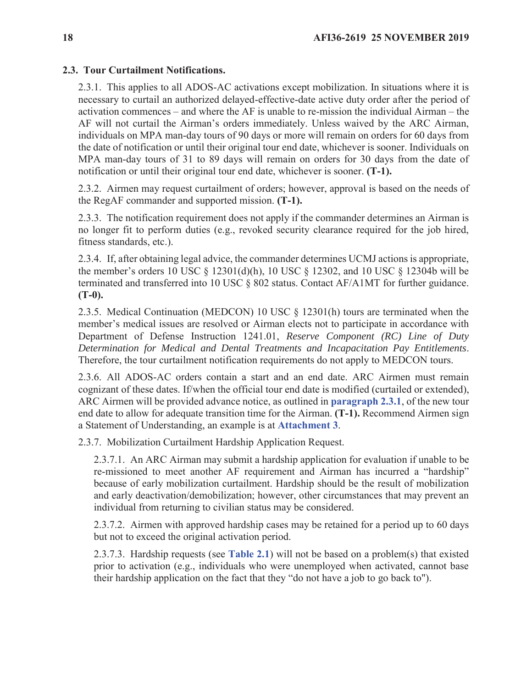# **2.3. Tour Curtailment Notifications.**

2.3.1. This applies to all ADOS-AC activations except mobilization. In situations where it is necessary to curtail an authorized delayed-effective-date active duty order after the period of activation commences – and where the AF is unable to re-mission the individual Airman – the AF will not curtail the Airman's orders immediately. Unless waived by the ARC Airman, individuals on MPA man-day tours of 90 days or more will remain on orders for 60 days from the date of notification or until their original tour end date, whichever is sooner. Individuals on MPA man-day tours of 31 to 89 days will remain on orders for 30 days from the date of notification or until their original tour end date, whichever is sooner. **(T-1).**

2.3.2. Airmen may request curtailment of orders; however, approval is based on the needs of the RegAF commander and supported mission. **(T-1).**

2.3.3. The notification requirement does not apply if the commander determines an Airman is no longer fit to perform duties (e.g., revoked security clearance required for the job hired, fitness standards, etc.).

2.3.4. If, after obtaining legal advice, the commander determines UCMJ actions is appropriate, the member's orders 10 USC § 12301(d)(h), 10 USC § 12302, and 10 USC § 12304b will be terminated and transferred into 10 USC § 802 status. Contact AF/A1MT for further guidance. **(T-0).**

2.3.5. Medical Continuation (MEDCON) 10 USC § 12301(h) tours are terminated when the member's medical issues are resolved or Airman elects not to participate in accordance with Department of Defense Instruction 1241.01, *Reserve Component (RC) Line of Duty Determination for Medical and Dental Treatments and Incapacitation Pay Entitlements*. Therefore, the tour curtailment notification requirements do not apply to MEDCON tours.

2.3.6. All ADOS-AC orders contain a start and an end date. ARC Airmen must remain cognizant of these dates. If/when the official tour end date is modified (curtailed or extended), ARC Airmen will be provided advance notice, as outlined in **paragraph 2.3.1**, of the new tour end date to allow for adequate transition time for the Airman. **(T-1).** Recommend Airmen sign a Statement of Understanding, an example is at **Attachment 3**.

2.3.7. Mobilization Curtailment Hardship Application Request.

2.3.7.1. An ARC Airman may submit a hardship application for evaluation if unable to be re-missioned to meet another AF requirement and Airman has incurred a "hardship" because of early mobilization curtailment. Hardship should be the result of mobilization and early deactivation/demobilization; however, other circumstances that may prevent an individual from returning to civilian status may be considered.

2.3.7.2. Airmen with approved hardship cases may be retained for a period up to 60 days but not to exceed the original activation period.

2.3.7.3. Hardship requests (see **Table 2.1**) will not be based on a problem(s) that existed prior to activation (e.g., individuals who were unemployed when activated, cannot base their hardship application on the fact that they "do not have a job to go back to").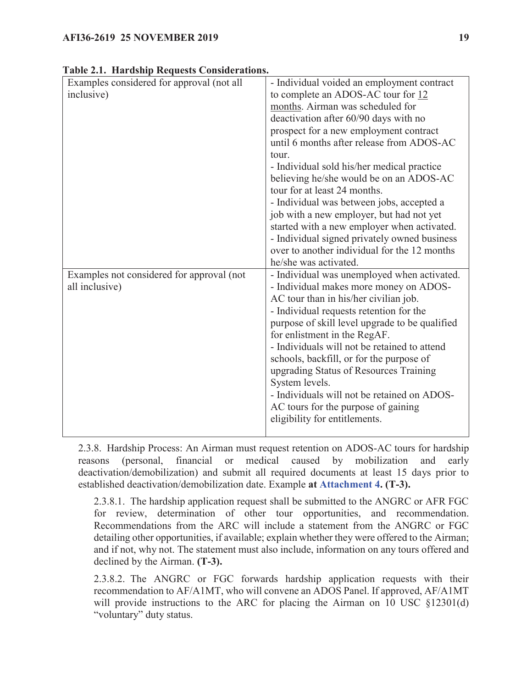| Lable 2.1. Hardship Requests Considerations. |                                                |
|----------------------------------------------|------------------------------------------------|
| Examples considered for approval (not all    | - Individual voided an employment contract     |
| inclusive)                                   | to complete an ADOS-AC tour for 12             |
|                                              | months. Airman was scheduled for               |
|                                              | deactivation after 60/90 days with no          |
|                                              | prospect for a new employment contract         |
|                                              | until 6 months after release from ADOS-AC      |
|                                              | tour.                                          |
|                                              | - Individual sold his/her medical practice     |
|                                              | believing he/she would be on an ADOS-AC        |
|                                              | tour for at least 24 months.                   |
|                                              | - Individual was between jobs, accepted a      |
|                                              | job with a new employer, but had not yet       |
|                                              | started with a new employer when activated.    |
|                                              | - Individual signed privately owned business   |
|                                              | over to another individual for the 12 months   |
|                                              |                                                |
|                                              | he/she was activated.                          |
| Examples not considered for approval (not    | - Individual was unemployed when activated.    |
| all inclusive)                               | - Individual makes more money on ADOS-         |
|                                              | AC tour than in his/her civilian job.          |
|                                              | - Individual requests retention for the        |
|                                              | purpose of skill level upgrade to be qualified |
|                                              | for enlistment in the RegAF.                   |
|                                              | - Individuals will not be retained to attend   |
|                                              | schools, backfill, or for the purpose of       |
|                                              | upgrading Status of Resources Training         |
|                                              | System levels.                                 |
|                                              | - Individuals will not be retained on ADOS-    |
|                                              | AC tours for the purpose of gaining            |
|                                              | eligibility for entitlements.                  |

**Table 2.1. Hardship Requests Considerations.** 

2.3.8. Hardship Process: An Airman must request retention on ADOS-AC tours for hardship reasons (personal, financial or medical caused by mobilization and early deactivation/demobilization) and submit all required documents at least 15 days prior to established deactivation/demobilization date. Example **at Attachment 4. (T-3).**

2.3.8.1. The hardship application request shall be submitted to the ANGRC or AFR FGC for review, determination of other tour opportunities, and recommendation. Recommendations from the ARC will include a statement from the ANGRC or FGC detailing other opportunities, if available; explain whether they were offered to the Airman; and if not, why not. The statement must also include, information on any tours offered and declined by the Airman. **(T-3).**

2.3.8.2. The ANGRC or FGC forwards hardship application requests with their recommendation to AF/A1MT, who will convene an ADOS Panel. If approved, AF/A1MT will provide instructions to the ARC for placing the Airman on 10 USC §12301(d) "voluntary" duty status.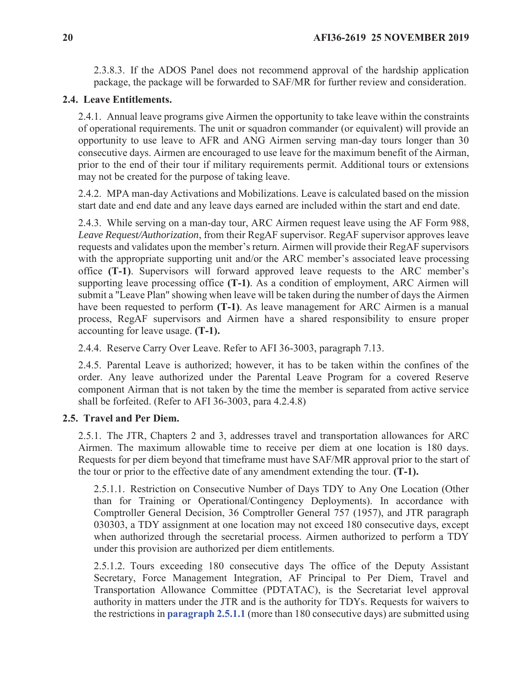2.3.8.3. If the ADOS Panel does not recommend approval of the hardship application package, the package will be forwarded to SAF/MR for further review and consideration.

## **2.4. Leave Entitlements.**

2.4.1. Annual leave programs give Airmen the opportunity to take leave within the constraints of operational requirements. The unit or squadron commander (or equivalent) will provide an opportunity to use leave to AFR and ANG Airmen serving man-day tours longer than 30 consecutive days. Airmen are encouraged to use leave for the maximum benefit of the Airman, prior to the end of their tour if military requirements permit. Additional tours or extensions may not be created for the purpose of taking leave.

2.4.2. MPA man-day Activations and Mobilizations. Leave is calculated based on the mission start date and end date and any leave days earned are included within the start and end date.

2.4.3. While serving on a man-day tour, ARC Airmen request leave using the AF Form 988, *Leave Request/Authorization*, from their RegAF supervisor. RegAF supervisor approves leave requests and validates upon the member's return. Airmen will provide their RegAF supervisors with the appropriate supporting unit and/or the ARC member's associated leave processing office **(T-1)**. Supervisors will forward approved leave requests to the ARC member's supporting leave processing office **(T-1)**. As a condition of employment, ARC Airmen will submit a "Leave Plan" showing when leave will be taken during the number of days the Airmen have been requested to perform **(T-1)**. As leave management for ARC Airmen is a manual process, RegAF supervisors and Airmen have a shared responsibility to ensure proper accounting for leave usage. **(T-1).**

2.4.4. Reserve Carry Over Leave. Refer to AFI 36-3003, paragraph 7.13.

2.4.5. Parental Leave is authorized; however, it has to be taken within the confines of the order. Any leave authorized under the Parental Leave Program for a covered Reserve component Airman that is not taken by the time the member is separated from active service shall be forfeited. (Refer to AFI 36-3003, para 4.2.4.8)

# **2.5. Travel and Per Diem.**

2.5.1. The JTR, Chapters 2 and 3, addresses travel and transportation allowances for ARC Airmen. The maximum allowable time to receive per diem at one location is 180 days. Requests for per diem beyond that timeframe must have SAF/MR approval prior to the start of the tour or prior to the effective date of any amendment extending the tour. **(T-1).**

2.5.1.1. Restriction on Consecutive Number of Days TDY to Any One Location (Other than for Training or Operational/Contingency Deployments). In accordance with Comptroller General Decision, 36 Comptroller General 757 (1957), and JTR paragraph 030303, a TDY assignment at one location may not exceed 180 consecutive days, except when authorized through the secretarial process. Airmen authorized to perform a TDY under this provision are authorized per diem entitlements.

2.5.1.2. Tours exceeding 180 consecutive days The office of the Deputy Assistant Secretary, Force Management Integration, AF Principal to Per Diem, Travel and Transportation Allowance Committee (PDTATAC), is the Secretariat level approval authority in matters under the JTR and is the authority for TDYs. Requests for waivers to the restrictions in **paragraph 2.5.1.1** (more than 180 consecutive days) are submitted using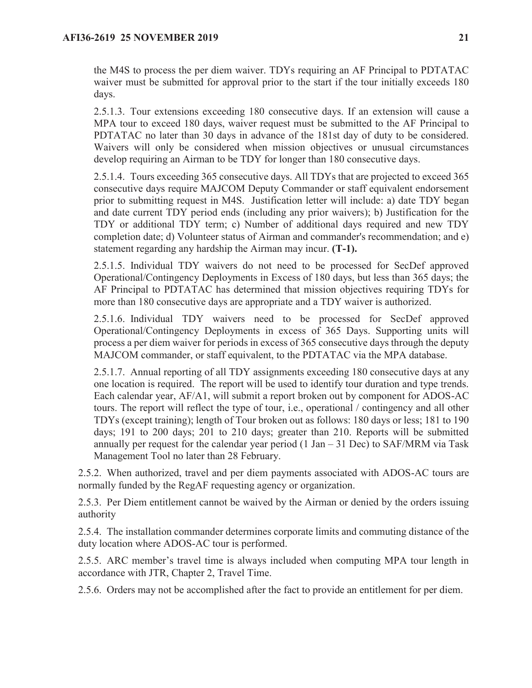the M4S to process the per diem waiver. TDYs requiring an AF Principal to PDTATAC waiver must be submitted for approval prior to the start if the tour initially exceeds 180 days.

2.5.1.3. Tour extensions exceeding 180 consecutive days. If an extension will cause a MPA tour to exceed 180 days, waiver request must be submitted to the AF Principal to PDTATAC no later than 30 days in advance of the 181st day of duty to be considered. Waivers will only be considered when mission objectives or unusual circumstances develop requiring an Airman to be TDY for longer than 180 consecutive days.

2.5.1.4. Tours exceeding 365 consecutive days. All TDYs that are projected to exceed 365 consecutive days require MAJCOM Deputy Commander or staff equivalent endorsement prior to submitting request in M4S. Justification letter will include: a) date TDY began and date current TDY period ends (including any prior waivers); b) Justification for the TDY or additional TDY term; c) Number of additional days required and new TDY completion date; d) Volunteer status of Airman and commander's recommendation; and e) statement regarding any hardship the Airman may incur. **(T-1).**

2.5.1.5. Individual TDY waivers do not need to be processed for SecDef approved Operational/Contingency Deployments in Excess of 180 days, but less than 365 days; the AF Principal to PDTATAC has determined that mission objectives requiring TDYs for more than 180 consecutive days are appropriate and a TDY waiver is authorized.

2.5.1.6. Individual TDY waivers need to be processed for SecDef approved Operational/Contingency Deployments in excess of 365 Days. Supporting units will process a per diem waiver for periods in excess of 365 consecutive days through the deputy MAJCOM commander, or staff equivalent, to the PDTATAC via the MPA database.

2.5.1.7. Annual reporting of all TDY assignments exceeding 180 consecutive days at any one location is required. The report will be used to identify tour duration and type trends. Each calendar year, AF/A1, will submit a report broken out by component for ADOS-AC tours. The report will reflect the type of tour, i.e., operational / contingency and all other TDYs (except training); length of Tour broken out as follows: 180 days or less; 181 to 190 days; 191 to 200 days; 201 to 210 days; greater than 210. Reports will be submitted annually per request for the calendar year period  $(1 \text{ Jan} - 31 \text{ Dec})$  to SAF/MRM via Task Management Tool no later than 28 February.

2.5.2. When authorized, travel and per diem payments associated with ADOS-AC tours are normally funded by the RegAF requesting agency or organization.

2.5.3. Per Diem entitlement cannot be waived by the Airman or denied by the orders issuing authority

2.5.4. The installation commander determines corporate limits and commuting distance of the duty location where ADOS-AC tour is performed.

2.5.5. ARC member's travel time is always included when computing MPA tour length in accordance with JTR, Chapter 2, Travel Time.

2.5.6. Orders may not be accomplished after the fact to provide an entitlement for per diem.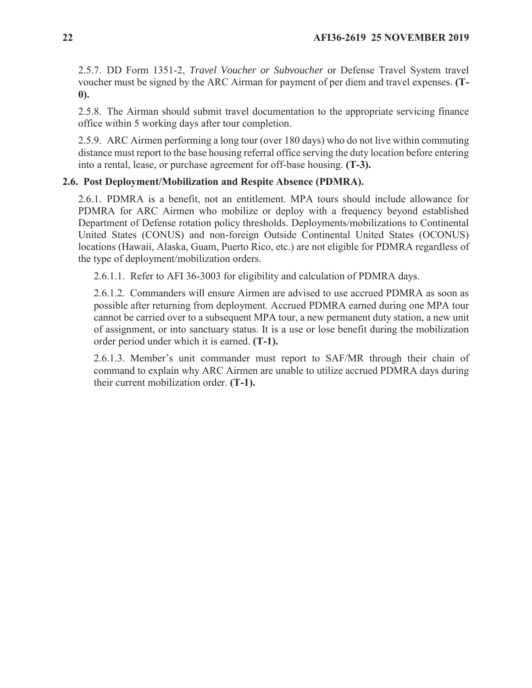2.5.7. DD Form 1351-2, *Travel Voucher or Subvoucher* or Defense Travel System travel voucher must be signed by the ARC Airman for payment of per diem and travel expenses. **(T-0).** 

2.5.8. The Airman should submit travel documentation to the appropriate servicing finance office within 5 working days after tour completion.

2.5.9. ARC Airmen performing a long tour (over 180 days) who do not live within commuting distance must report to the base housing referral office serving the duty location before entering into a rental, lease, or purchase agreement for off-base housing. **(T-3).**

# **2.6. Post Deployment/Mobilization and Respite Absence (PDMRA).**

2.6.1. PDMRA is a benefit, not an entitlement. MPA tours should include allowance for PDMRA for ARC Airmen who mobilize or deploy with a frequency beyond established Department of Defense rotation policy thresholds. Deployments/mobilizations to Continental United States (CONUS) and non-foreign Outside Continental United States (OCONUS) locations (Hawaii, Alaska, Guam, Puerto Rico, etc.) are not eligible for PDMRA regardless of the type of deployment/mobilization orders.

2.6.1.1. Refer to AFI 36-3003 for eligibility and calculation of PDMRA days.

2.6.1.2. Commanders will ensure Airmen are advised to use accrued PDMRA as soon as possible after returning from deployment. Accrued PDMRA earned during one MPA tour cannot be carried over to a subsequent MPA tour, a new permanent duty station, a new unit of assignment, or into sanctuary status. It is a use or lose benefit during the mobilization order period under which it is earned. **(T-1).**

2.6.1.3. Member's unit commander must report to SAF/MR through their chain of command to explain why ARC Airmen are unable to utilize accrued PDMRA days during their current mobilization order. **(T-1).**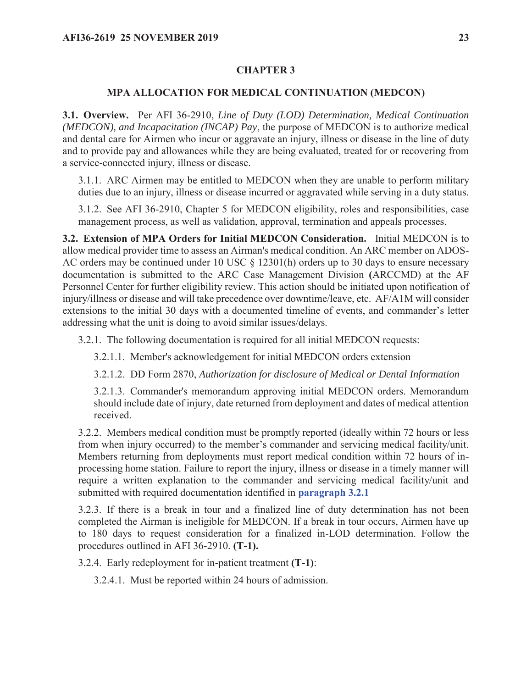### **CHAPTER 3**

#### **MPA ALLOCATION FOR MEDICAL CONTINUATION (MEDCON)**

**3.1. Overview.** Per AFI 36-2910, *Line of Duty (LOD) Determination, Medical Continuation (MEDCON), and Incapacitation (INCAP) Pay*, the purpose of MEDCON is to authorize medical and dental care for Airmen who incur or aggravate an injury, illness or disease in the line of duty and to provide pay and allowances while they are being evaluated, treated for or recovering from a service-connected injury, illness or disease.

3.1.1. ARC Airmen may be entitled to MEDCON when they are unable to perform military duties due to an injury, illness or disease incurred or aggravated while serving in a duty status.

3.1.2. See AFI 36-2910, Chapter 5 for MEDCON eligibility, roles and responsibilities, case management process, as well as validation, approval, termination and appeals processes.

**3.2. Extension of MPA Orders for Initial MEDCON Consideration.** Initial MEDCON is to allow medical provider time to assess an Airman's medical condition. An ARC member on ADOS-AC orders may be continued under 10 USC § 12301(h) orders up to 30 days to ensure necessary documentation is submitted to the ARC Case Management Division **(**ARCCMD) at the AF Personnel Center for further eligibility review. This action should be initiated upon notification of injury/illness or disease and will take precedence over downtime/leave, etc. AF/A1M will consider extensions to the initial 30 days with a documented timeline of events, and commander's letter addressing what the unit is doing to avoid similar issues/delays.

3.2.1. The following documentation is required for all initial MEDCON requests:

3.2.1.1. Member's acknowledgement for initial MEDCON orders extension

3.2.1.2. DD Form 2870, *Authorization for disclosure of Medical or Dental Information*

3.2.1.3. Commander's memorandum approving initial MEDCON orders. Memorandum should include date of injury, date returned from deployment and dates of medical attention received.

3.2.2. Members medical condition must be promptly reported (ideally within 72 hours or less from when injury occurred) to the member's commander and servicing medical facility/unit. Members returning from deployments must report medical condition within 72 hours of inprocessing home station. Failure to report the injury, illness or disease in a timely manner will require a written explanation to the commander and servicing medical facility/unit and submitted with required documentation identified in **paragraph 3.2.1**

3.2.3. If there is a break in tour and a finalized line of duty determination has not been completed the Airman is ineligible for MEDCON. If a break in tour occurs, Airmen have up to 180 days to request consideration for a finalized in-LOD determination. Follow the procedures outlined in AFI 36-2910. **(T-1).**

3.2.4. Early redeployment for in-patient treatment **(T-1)**:

3.2.4.1. Must be reported within 24 hours of admission.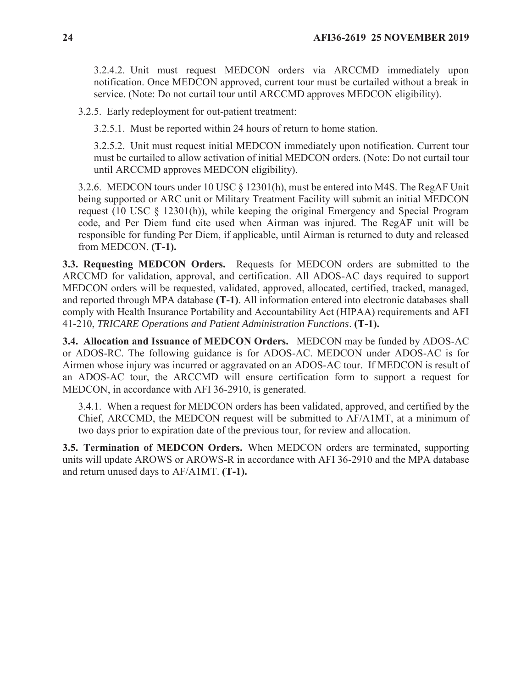3.2.4.2. Unit must request MEDCON orders via ARCCMD immediately upon notification. Once MEDCON approved, current tour must be curtailed without a break in service. (Note: Do not curtail tour until ARCCMD approves MEDCON eligibility).

3.2.5. Early redeployment for out-patient treatment:

3.2.5.1. Must be reported within 24 hours of return to home station.

3.2.5.2. Unit must request initial MEDCON immediately upon notification. Current tour must be curtailed to allow activation of initial MEDCON orders. (Note: Do not curtail tour until ARCCMD approves MEDCON eligibility).

3.2.6. MEDCON tours under 10 USC § 12301(h), must be entered into M4S. The RegAF Unit being supported or ARC unit or Military Treatment Facility will submit an initial MEDCON request (10 USC § 12301(h)), while keeping the original Emergency and Special Program code, and Per Diem fund cite used when Airman was injured. The RegAF unit will be responsible for funding Per Diem, if applicable, until Airman is returned to duty and released from MEDCON. **(T-1).**

**3.3. Requesting MEDCON Orders.** Requests for MEDCON orders are submitted to the ARCCMD for validation, approval, and certification. All ADOS-AC days required to support MEDCON orders will be requested, validated, approved, allocated, certified, tracked, managed, and reported through MPA database **(T-1)**. All information entered into electronic databases shall comply with Health Insurance Portability and Accountability Act (HIPAA) requirements and AFI 41-210, *TRICARE Operations and Patient Administration Functions*. **(T-1).**

**3.4. Allocation and Issuance of MEDCON Orders.** MEDCON may be funded by ADOS-AC or ADOS-RC. The following guidance is for ADOS-AC. MEDCON under ADOS-AC is for Airmen whose injury was incurred or aggravated on an ADOS-AC tour. If MEDCON is result of an ADOS-AC tour, the ARCCMD will ensure certification form to support a request for MEDCON, in accordance with AFI 36-2910, is generated.

3.4.1. When a request for MEDCON orders has been validated, approved, and certified by the Chief, ARCCMD, the MEDCON request will be submitted to AF/A1MT, at a minimum of two days prior to expiration date of the previous tour, for review and allocation.

**3.5. Termination of MEDCON Orders.** When MEDCON orders are terminated, supporting units will update AROWS or AROWS-R in accordance with AFI 36-2910 and the MPA database and return unused days to AF/A1MT. **(T-1).**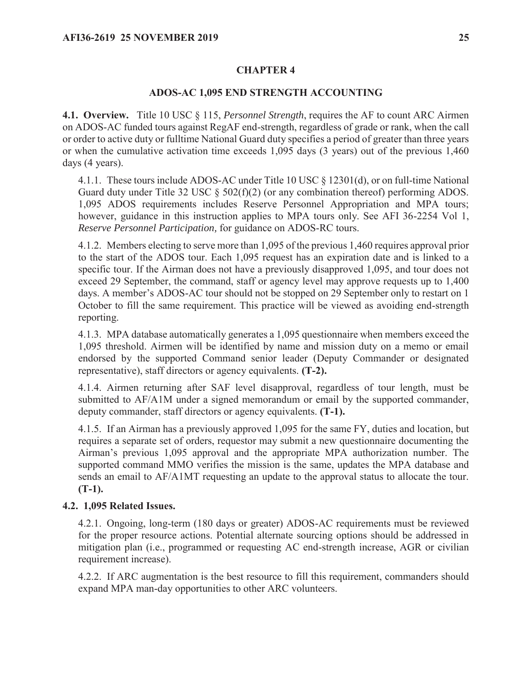## **CHAPTER 4**

#### **ADOS-AC 1,095 END STRENGTH ACCOUNTING**

**4.1. Overview.** Title 10 USC § 115, *Personnel Strength*, requires the AF to count ARC Airmen on ADOS-AC funded tours against RegAF end-strength, regardless of grade or rank, when the call or order to active duty or fulltime National Guard duty specifies a period of greater than three years or when the cumulative activation time exceeds 1,095 days (3 years) out of the previous 1,460 days (4 years).

4.1.1. These tours include ADOS-AC under Title 10 USC § 12301(d), or on full-time National Guard duty under Title 32 USC  $\S$  502(f)(2) (or any combination thereof) performing ADOS. 1,095 ADOS requirements includes Reserve Personnel Appropriation and MPA tours; however, guidance in this instruction applies to MPA tours only. See AFI 36-2254 Vol 1, *Reserve Personnel Participation,* for guidance on ADOS-RC tours.

4.1.2. Members electing to serve more than 1,095 of the previous 1,460 requires approval prior to the start of the ADOS tour. Each 1,095 request has an expiration date and is linked to a specific tour. If the Airman does not have a previously disapproved 1,095, and tour does not exceed 29 September, the command, staff or agency level may approve requests up to 1,400 days. A member's ADOS-AC tour should not be stopped on 29 September only to restart on 1 October to fill the same requirement. This practice will be viewed as avoiding end-strength reporting.

4.1.3. MPA database automatically generates a 1,095 questionnaire when members exceed the 1,095 threshold. Airmen will be identified by name and mission duty on a memo or email endorsed by the supported Command senior leader (Deputy Commander or designated representative), staff directors or agency equivalents. **(T-2).**

4.1.4. Airmen returning after SAF level disapproval, regardless of tour length, must be submitted to AF/A1M under a signed memorandum or email by the supported commander, deputy commander, staff directors or agency equivalents. **(T-1).**

4.1.5. If an Airman has a previously approved 1,095 for the same FY, duties and location, but requires a separate set of orders, requestor may submit a new questionnaire documenting the Airman's previous 1,095 approval and the appropriate MPA authorization number. The supported command MMO verifies the mission is the same, updates the MPA database and sends an email to AF/A1MT requesting an update to the approval status to allocate the tour. **(T-1).**

#### **4.2. 1,095 Related Issues.**

4.2.1. Ongoing, long-term (180 days or greater) ADOS-AC requirements must be reviewed for the proper resource actions. Potential alternate sourcing options should be addressed in mitigation plan (i.e., programmed or requesting AC end-strength increase, AGR or civilian requirement increase).

4.2.2. If ARC augmentation is the best resource to fill this requirement, commanders should expand MPA man-day opportunities to other ARC volunteers.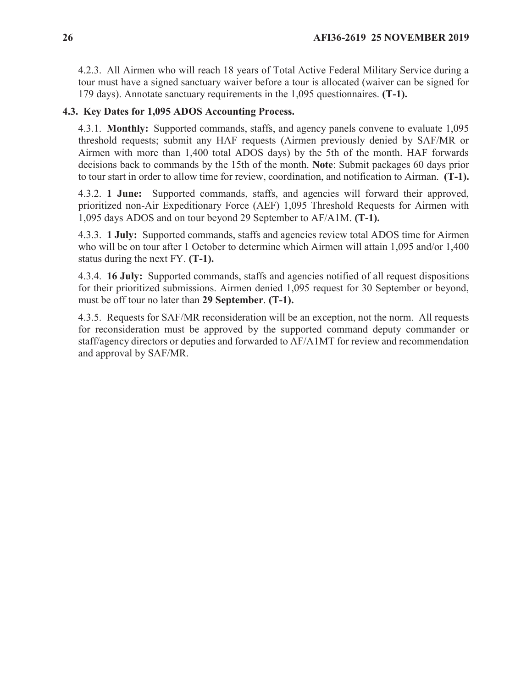4.2.3. All Airmen who will reach 18 years of Total Active Federal Military Service during a tour must have a signed sanctuary waiver before a tour is allocated (waiver can be signed for 179 days). Annotate sanctuary requirements in the 1,095 questionnaires. **(T-1).**

# **4.3. Key Dates for 1,095 ADOS Accounting Process.**

4.3.1. **Monthly:** Supported commands, staffs, and agency panels convene to evaluate 1,095 threshold requests; submit any HAF requests (Airmen previously denied by SAF/MR or Airmen with more than 1,400 total ADOS days) by the 5th of the month. HAF forwards decisions back to commands by the 15th of the month. **Note**: Submit packages 60 days prior to tour start in order to allow time for review, coordination, and notification to Airman. **(T-1).**

4.3.2. **1 June:** Supported commands, staffs, and agencies will forward their approved, prioritized non-Air Expeditionary Force (AEF) 1,095 Threshold Requests for Airmen with 1,095 days ADOS and on tour beyond 29 September to AF/A1M. **(T-1).**

4.3.3. **1 July:** Supported commands, staffs and agencies review total ADOS time for Airmen who will be on tour after 1 October to determine which Airmen will attain 1,095 and/or 1,400 status during the next FY. **(T-1).**

4.3.4. **16 July:** Supported commands, staffs and agencies notified of all request dispositions for their prioritized submissions. Airmen denied 1,095 request for 30 September or beyond, must be off tour no later than **29 September**. **(T-1).**

4.3.5. Requests for SAF/MR reconsideration will be an exception, not the norm. All requests for reconsideration must be approved by the supported command deputy commander or staff/agency directors or deputies and forwarded to AF/A1MT for review and recommendation and approval by SAF/MR.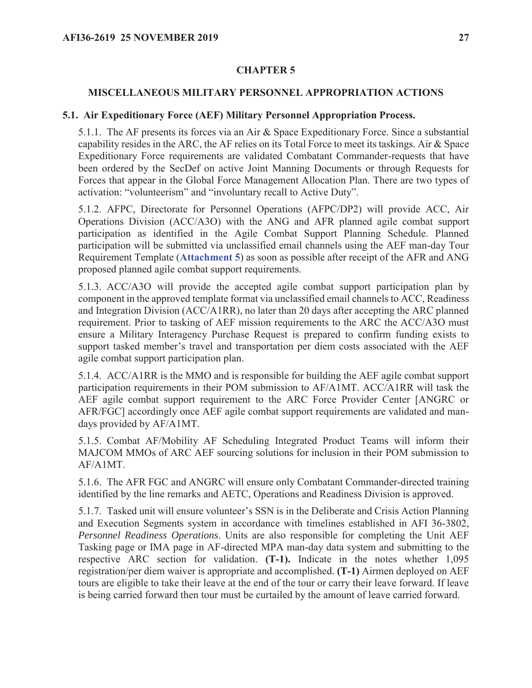### **CHAPTER 5**

#### **MISCELLANEOUS MILITARY PERSONNEL APPROPRIATION ACTIONS**

#### **5.1. Air Expeditionary Force (AEF) Military Personnel Appropriation Process.**

5.1.1. The AF presents its forces via an Air & Space Expeditionary Force. Since a substantial capability resides in the ARC, the AF relies on its Total Force to meet its taskings. Air & Space Expeditionary Force requirements are validated Combatant Commander-requests that have been ordered by the SecDef on active Joint Manning Documents or through Requests for Forces that appear in the Global Force Management Allocation Plan. There are two types of activation: "volunteerism" and "involuntary recall to Active Duty".

5.1.2. AFPC, Directorate for Personnel Operations (AFPC/DP2) will provide ACC, Air Operations Division (ACC/A3O) with the ANG and AFR planned agile combat support participation as identified in the Agile Combat Support Planning Schedule. Planned participation will be submitted via unclassified email channels using the AEF man-day Tour Requirement Template (**Attachment 5**) as soon as possible after receipt of the AFR and ANG proposed planned agile combat support requirements.

5.1.3. ACC/A3O will provide the accepted agile combat support participation plan by component in the approved template format via unclassified email channels to ACC, Readiness and Integration Division (ACC/A1RR), no later than 20 days after accepting the ARC planned requirement. Prior to tasking of AEF mission requirements to the ARC the ACC/A3O must ensure a Military Interagency Purchase Request is prepared to confirm funding exists to support tasked member's travel and transportation per diem costs associated with the AEF agile combat support participation plan.

5.1.4. ACC/A1RR is the MMO and is responsible for building the AEF agile combat support participation requirements in their POM submission to AF/A1MT. ACC/A1RR will task the AEF agile combat support requirement to the ARC Force Provider Center [ANGRC or AFR/FGC] accordingly once AEF agile combat support requirements are validated and mandays provided by AF/A1MT.

5.1.5. Combat AF/Mobility AF Scheduling Integrated Product Teams will inform their MAJCOM MMOs of ARC AEF sourcing solutions for inclusion in their POM submission to AF/A1MT.

5.1.6. The AFR FGC and ANGRC will ensure only Combatant Commander-directed training identified by the line remarks and AETC, Operations and Readiness Division is approved.

5.1.7. Tasked unit will ensure volunteer's SSN is in the Deliberate and Crisis Action Planning and Execution Segments system in accordance with timelines established in AFI 36-3802, *Personnel Readiness Operations*. Units are also responsible for completing the Unit AEF Tasking page or IMA page in AF-directed MPA man-day data system and submitting to the respective ARC section for validation. **(T-1).** Indicate in the notes whether 1,095 registration/per diem waiver is appropriate and accomplished. **(T-1)** Airmen deployed on AEF tours are eligible to take their leave at the end of the tour or carry their leave forward. If leave is being carried forward then tour must be curtailed by the amount of leave carried forward.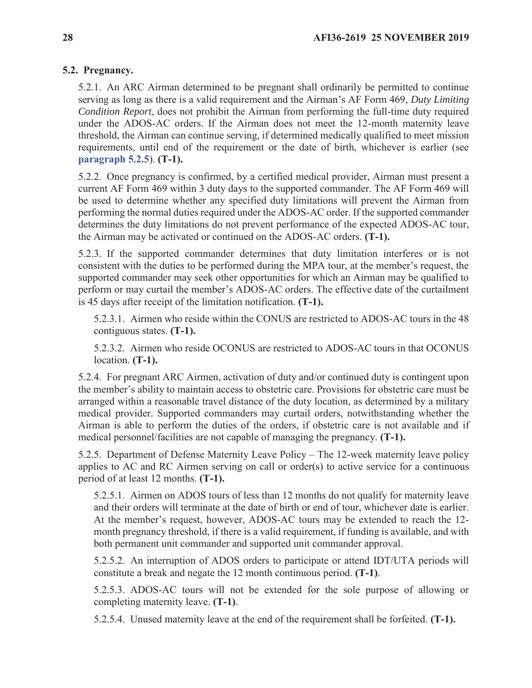# **5.2. Pregnancy.**

5.2.1. An ARC Airman determined to be pregnant shall ordinarily be permitted to continue serving as long as there is a valid requirement and the Airman's AF Form 469, *Duty Limiting Condition Report*, does not prohibit the Airman from performing the full-time duty required under the ADOS-AC orders. If the Airman does not meet the 12-month maternity leave threshold, the Airman can continue serving, if determined medically qualified to meet mission requirements, until end of the requirement or the date of birth, whichever is earlier (see **paragraph 5.2.5**). **(T-1).**

5.2.2. Once pregnancy is confirmed, by a certified medical provider, Airman must present a current AF Form 469 within 3 duty days to the supported commander. The AF Form 469 will be used to determine whether any specified duty limitations will prevent the Airman from performing the normal duties required under the ADOS-AC order. If the supported commander determines the duty limitations do not prevent performance of the expected ADOS-AC tour, the Airman may be activated or continued on the ADOS-AC orders. **(T-1).**

5.2.3. If the supported commander determines that duty limitation interferes or is not consistent with the duties to be performed during the MPA tour, at the member's request, the supported commander may seek other opportunities for which an Airman may be qualified to perform or may curtail the member's ADOS-AC orders. The effective date of the curtailment is 45 days after receipt of the limitation notification. **(T-1).**

5.2.3.1. Airmen who reside within the CONUS are restricted to ADOS-AC tours in the 48 contiguous states. **(T-1).**

5.2.3.2. Airmen who reside OCONUS are restricted to ADOS-AC tours in that OCONUS location. **(T-1).**

5.2.4. For pregnant ARC Airmen, activation of duty and/or continued duty is contingent upon the member's ability to maintain access to obstetric care. Provisions for obstetric care must be arranged within a reasonable travel distance of the duty location, as determined by a military medical provider. Supported commanders may curtail orders, notwithstanding whether the Airman is able to perform the duties of the orders, if obstetric care is not available and if medical personnel/facilities are not capable of managing the pregnancy. **(T-1).**

5.2.5. Department of Defense Maternity Leave Policy – The 12-week maternity leave policy applies to AC and RC Airmen serving on call or order(s) to active service for a continuous period of at least 12 months. **(T-1).**

5.2.5.1. Airmen on ADOS tours of less than 12 months do not qualify for maternity leave and their orders will terminate at the date of birth or end of tour, whichever date is earlier. At the member's request, however, ADOS-AC tours may be extended to reach the 12 month pregnancy threshold, if there is a valid requirement, if funding is available, and with both permanent unit commander and supported unit commander approval.

5.2.5.2. An interruption of ADOS orders to participate or attend IDT/UTA periods will constitute a break and negate the 12 month continuous period. **(T-1)**.

5.2.5.3. ADOS-AC tours will not be extended for the sole purpose of allowing or completing maternity leave. **(T-1)**.

5.2.5.4. Unused maternity leave at the end of the requirement shall be forfeited. **(T-1).**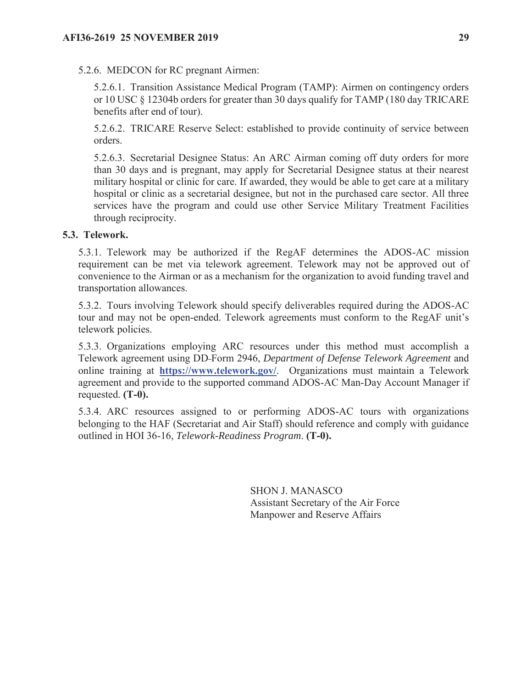5.2.6. MEDCON for RC pregnant Airmen:

5.2.6.1. Transition Assistance Medical Program (TAMP): Airmen on contingency orders or 10 USC § 12304b orders for greater than 30 days qualify for TAMP (180 day TRICARE benefits after end of tour).

5.2.6.2. TRICARE Reserve Select: established to provide continuity of service between orders.

5.2.6.3. Secretarial Designee Status: An ARC Airman coming off duty orders for more than 30 days and is pregnant, may apply for Secretarial Designee status at their nearest military hospital or clinic for care. If awarded, they would be able to get care at a military hospital or clinic as a secretarial designee, but not in the purchased care sector. All three services have the program and could use other Service Military Treatment Facilities through reciprocity.

# **5.3. Telework.**

5.3.1. Telework may be authorized if the RegAF determines the ADOS-AC mission requirement can be met via telework agreement. Telework may not be approved out of convenience to the Airman or as a mechanism for the organization to avoid funding travel and transportation allowances.

5.3.2. Tours involving Telework should specify deliverables required during the ADOS-AC tour and may not be open-ended. Telework agreements must conform to the RegAF unit's telework policies.

5.3.3. Organizations employing ARC resources under this method must accomplish a Telework agreement using DD Form 2946, *Department of Defense Telework Agreement* and online training at **https://www.telework.gov/**. Organizations must maintain a Telework agreement and provide to the supported command ADOS-AC Man-Day Account Manager if requested. **(T-0).**

5.3.4. ARC resources assigned to or performing ADOS-AC tours with organizations belonging to the HAF (Secretariat and Air Staff) should reference and comply with guidance outlined in HOI 36-16, *Telework-Readiness Program*. **(T-0).**

> SHON J. MANASCO Assistant Secretary of the Air Force Manpower and Reserve Affairs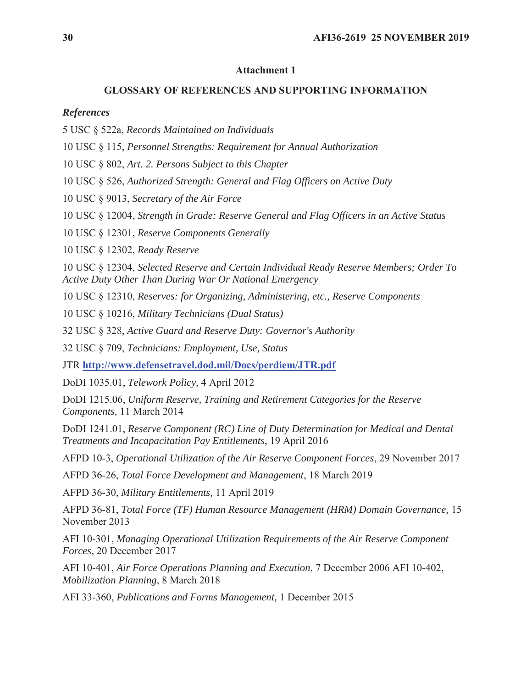### **Attachment 1**

## **GLOSSARY OF REFERENCES AND SUPPORTING INFORMATION**

#### *References*

- 5 USC § 522a, *Records Maintained on Individuals*
- 10 USC § 115, *Personnel Strengths: Requirement for Annual Authorization*
- 10 USC § 802, *Art. 2. Persons Subject to this Chapter*
- 10 USC § 526, *Authorized Strength: General and Flag Officers on Active Duty*
- 10 USC § 9013, *Secretary of the Air Force*
- 10 USC § 12004, *Strength in Grade: Reserve General and Flag Officers in an Active Status*
- 10 USC § 12301, *Reserve Components Generally*

10 USC § 12302, *Ready Reserve*

10 USC § 12304, *Selected Reserve and Certain Individual Ready Reserve Members; Order To Active Duty Other Than During War Or National Emergency*

10 USC § 12310, *Reserves: for Organizing, Administering, etc., Reserve Components*

10 USC § 10216, *Military Technicians (Dual Status)*

32 USC § 328, *Active Guard and Reserve Duty: Governor's Authority*

32 USC § 709, *Technicians: Employment, Use, Status*

JTR **http://www.defensetravel.dod.mil/Docs/perdiem/JTR.pdf**

DoDI 1035.01, *Telework Policy*, 4 April 2012

DoDI 1215.06, *Uniform Reserve, Training and Retirement Categories for the Reserve Components,* 11 March 2014

DoDI 1241.01, *Reserve Component (RC) Line of Duty Determination for Medical and Dental Treatments and Incapacitation Pay Entitlements*, 19 April 2016

AFPD 10-3, *Operational Utilization of the Air Reserve Component Forces*, 29 November 2017

AFPD 36-26, *Total Force Development and Management*, 18 March 2019

AFPD 36-30*, Military Entitlements,* 11 April 2019

AFPD 36-81, *Total Force (TF) Human Resource Management (HRM) Domain Governance,* 15 November 2013

AFI 10-301, *Managing Operational Utilization Requirements of the Air Reserve Component Forces*, 20 December 2017

AFI 10-401, *Air Force Operations Planning and Execution*, 7 December 2006 AFI 10-402, *Mobilization Planning*, 8 March 2018

AFI 33-360, *Publications and Forms Management,* 1 December 2015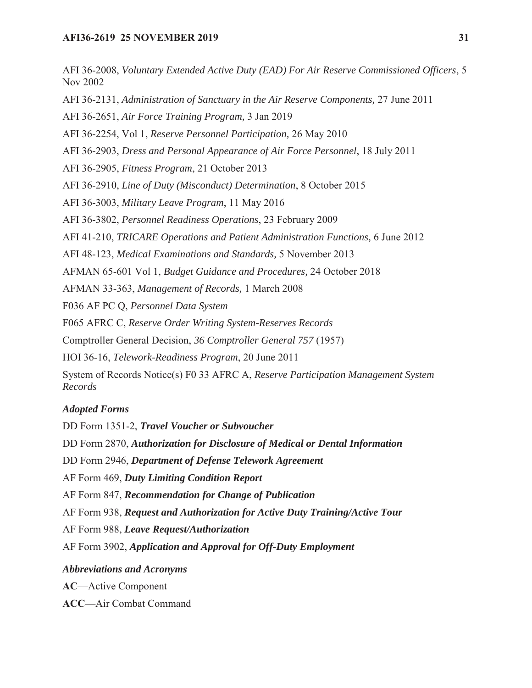#### **AFI36-2619 25 NOVEMBER 2019** 31

AFI 36-2008, *Voluntary Extended Active Duty (EAD) For Air Reserve Commissioned Officers*, 5 Nov 2002 AFI 36-2131, *Administration of Sanctuary in the Air Reserve Components,* 27 June 2011 AFI 36-2651, *Air Force Training Program,* 3 Jan 2019 AFI 36-2254, Vol 1, *Reserve Personnel Participation,* 26 May 2010 AFI 36-2903, *Dress and Personal Appearance of Air Force Personnel*, 18 July 2011 AFI 36-2905, *Fitness Program*, 21 October 2013 AFI 36-2910, *Line of Duty (Misconduct) Determination*, 8 October 2015 AFI 36-3003, *Military Leave Program*, 11 May 2016 AFI 36-3802, *Personnel Readiness Operations*, 23 February 2009 AFI 41-210, *TRICARE Operations and Patient Administration Functions,* 6 June 2012 AFI 48-123, *Medical Examinations and Standards,* 5 November 2013 AFMAN 65-601 Vol 1, *Budget Guidance and Procedures,* 24 October 2018 AFMAN 33-363, *Management of Records,* 1 March 2008 F036 AF PC Q, *Personnel Data System* F065 AFRC C, *Reserve Order Writing System-Reserves Records* Comptroller General Decision, *36 Comptroller General 757* (1957) HOI 36-16, *Telework-Readiness Program*, 20 June 2011 System of Records Notice(s) F0 33 AFRC A, *Reserve Participation Management System Records Adopted Forms*  DD Form 1351-2, *Travel Voucher or Subvoucher* DD Form 2870, *Authorization for Disclosure of Medical or Dental Information* DD Form 2946, *Department of Defense Telework Agreement*

AF Form 469, *Duty Limiting Condition Report*

AF Form 847, *Recommendation for Change of Publication*

AF Form 938, *Request and Authorization for Active Duty Training/Active Tour*

AF Form 988, *Leave Request/Authorization*

AF Form 3902, *Application and Approval for Off-Duty Employment*

## *Abbreviations and Acronyms*

**AC**—Active Component

**ACC**—Air Combat Command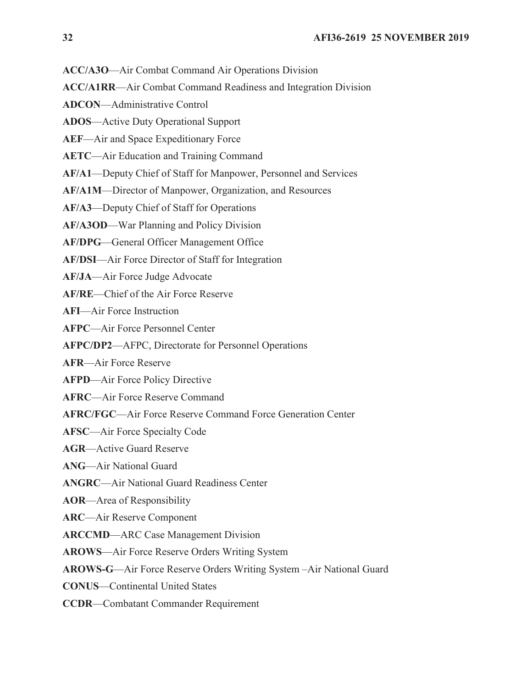**ACC/A3O**—Air Combat Command Air Operations Division

**ACC/A1RR**—Air Combat Command Readiness and Integration Division

**ADCON**—Administrative Control

**ADOS**—Active Duty Operational Support

**AEF**—Air and Space Expeditionary Force

**AETC**—Air Education and Training Command

**AF/A1**—Deputy Chief of Staff for Manpower, Personnel and Services

**AF/A1M**—Director of Manpower, Organization, and Resources

**AF/A3**—Deputy Chief of Staff for Operations

**AF/A3OD**—War Planning and Policy Division

**AF/DPG**—General Officer Management Office

**AF/DSI**—Air Force Director of Staff for Integration

**AF/JA**—Air Force Judge Advocate

**AF/RE**—Chief of the Air Force Reserve

**AFI**—Air Force Instruction

**AFPC**—Air Force Personnel Center

**AFPC/DP2**—AFPC, Directorate for Personnel Operations

**AFR**—Air Force Reserve

**AFPD**—Air Force Policy Directive

**AFRC**—Air Force Reserve Command

**AFRC/FGC**—Air Force Reserve Command Force Generation Center

**AFSC**—Air Force Specialty Code

**AGR**—Active Guard Reserve

**ANG**—Air National Guard

**ANGRC**—Air National Guard Readiness Center

**AOR**—Area of Responsibility

**ARC**—Air Reserve Component

**ARCCMD**—ARC Case Management Division

**AROWS**—Air Force Reserve Orders Writing System

**AROWS-G**—Air Force Reserve Orders Writing System –Air National Guard

**CONUS**—Continental United States

**CCDR**—Combatant Commander Requirement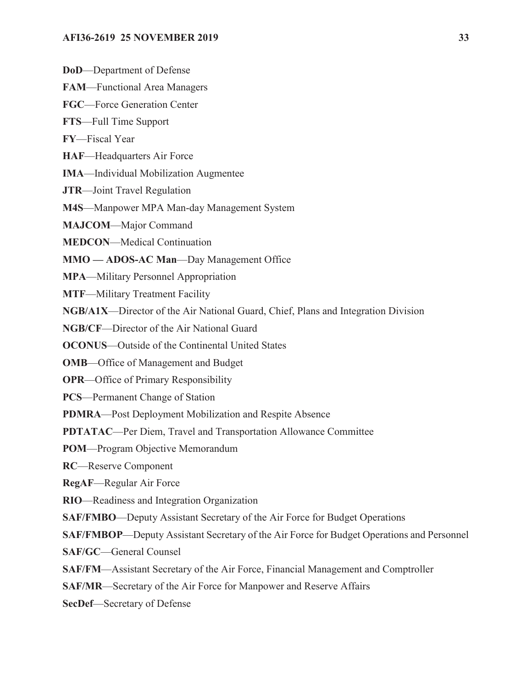**DoD**—Department of Defense

**FAM**—Functional Area Managers

**FGC**—Force Generation Center

**FTS**—Full Time Support

**FY**—Fiscal Year

**HAF**—Headquarters Air Force

**IMA**—Individual Mobilization Augmentee

**JTR**—Joint Travel Regulation

**M4S**—Manpower MPA Man-day Management System

**MAJCOM**—Major Command

**MEDCON**—Medical Continuation

**MMO — ADOS-AC Man**—Day Management Office

**MPA**—Military Personnel Appropriation

**MTF**—Military Treatment Facility

**NGB/A1X**—Director of the Air National Guard, Chief, Plans and Integration Division

**NGB/CF**—Director of the Air National Guard

**OCONUS**—Outside of the Continental United States

**OMB**—Office of Management and Budget

**OPR**—Office of Primary Responsibility

**PCS**—Permanent Change of Station

**PDMRA**—Post Deployment Mobilization and Respite Absence

**PDTATAC**—Per Diem, Travel and Transportation Allowance Committee

**POM**—Program Objective Memorandum

**RC**—Reserve Component

**RegAF**—Regular Air Force

**RIO**—Readiness and Integration Organization

**SAF/FMBO**—Deputy Assistant Secretary of the Air Force for Budget Operations

**SAF/FMBOP**—Deputy Assistant Secretary of the Air Force for Budget Operations and Personnel

**SAF/GC**—General Counsel

**SAF/FM**—Assistant Secretary of the Air Force, Financial Management and Comptroller

**SAF/MR**—Secretary of the Air Force for Manpower and Reserve Affairs

**SecDef**—Secretary of Defense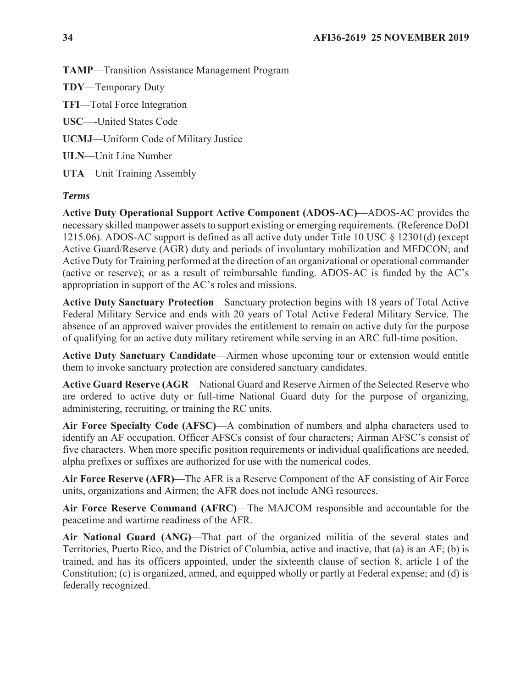**TAMP**—Transition Assistance Management Program

**TDY**—Temporary Duty

**TFI**—Total Force Integration

**USC**—-United States Code

**UCMJ**—Uniform Code of Military Justice

**ULN**—Unit Line Number

**UTA**—Unit Training Assembly

# *Terms*

**Active Duty Operational Support Active Component (ADOS-AC)**—ADOS-AC provides the necessary skilled manpower assets to support existing or emerging requirements. (Reference DoDI 1215.06). ADOS-AC support is defined as all active duty under Title 10 USC § 12301(d) (except Active Guard/Reserve (AGR) duty and periods of involuntary mobilization and MEDCON; and Active Duty for Training performed at the direction of an organizational or operational commander (active or reserve); or as a result of reimbursable funding. ADOS-AC is funded by the AC's appropriation in support of the AC's roles and missions.

**Active Duty Sanctuary Protection**—Sanctuary protection begins with 18 years of Total Active Federal Military Service and ends with 20 years of Total Active Federal Military Service. The absence of an approved waiver provides the entitlement to remain on active duty for the purpose of qualifying for an active duty military retirement while serving in an ARC full-time position.

**Active Duty Sanctuary Candidate**—Airmen whose upcoming tour or extension would entitle them to invoke sanctuary protection are considered sanctuary candidates.

**Active Guard Reserve (AGR**—National Guard and Reserve Airmen of the Selected Reserve who are ordered to active duty or full-time National Guard duty for the purpose of organizing, administering, recruiting, or training the RC units.

**Air Force Specialty Code (AFSC)**—A combination of numbers and alpha characters used to identify an AF occupation. Officer AFSCs consist of four characters; Airman AFSC's consist of five characters. When more specific position requirements or individual qualifications are needed, alpha prefixes or suffixes are authorized for use with the numerical codes.

**Air Force Reserve (AFR)**—The AFR is a Reserve Component of the AF consisting of Air Force units, organizations and Airmen; the AFR does not include ANG resources.

**Air Force Reserve Command (AFRC)**—The MAJCOM responsible and accountable for the peacetime and wartime readiness of the AFR.

**Air National Guard (ANG)**—That part of the organized militia of the several states and Territories, Puerto Rico, and the District of Columbia, active and inactive, that (a) is an AF; (b) is trained, and has its officers appointed, under the sixteenth clause of section 8, article I of the Constitution; (c) is organized, armed, and equipped wholly or partly at Federal expense; and (d) is federally recognized.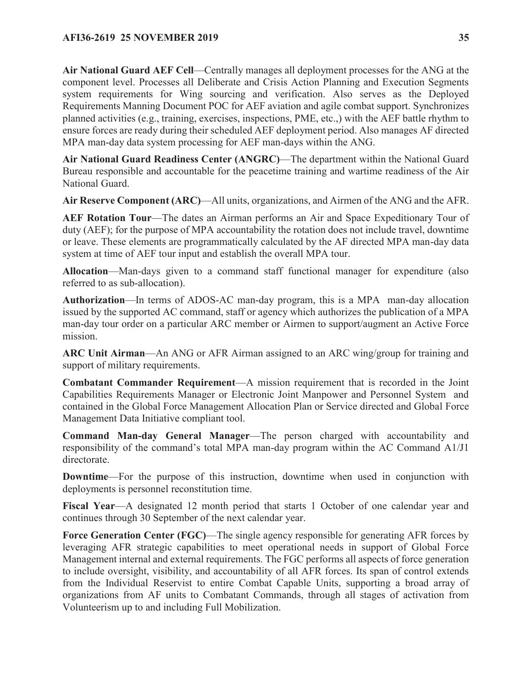**Air National Guard AEF Cell**—Centrally manages all deployment processes for the ANG at the component level. Processes all Deliberate and Crisis Action Planning and Execution Segments system requirements for Wing sourcing and verification. Also serves as the Deployed Requirements Manning Document POC for AEF aviation and agile combat support. Synchronizes planned activities (e.g., training, exercises, inspections, PME, etc.,) with the AEF battle rhythm to ensure forces are ready during their scheduled AEF deployment period. Also manages AF directed MPA man-day data system processing for AEF man-days within the ANG.

**Air National Guard Readiness Center (ANGRC)**—The department within the National Guard Bureau responsible and accountable for the peacetime training and wartime readiness of the Air National Guard.

**Air Reserve Component (ARC)**—All units, organizations, and Airmen of the ANG and the AFR.

**AEF Rotation Tour**—The dates an Airman performs an Air and Space Expeditionary Tour of duty (AEF); for the purpose of MPA accountability the rotation does not include travel, downtime or leave. These elements are programmatically calculated by the AF directed MPA man-day data system at time of AEF tour input and establish the overall MPA tour.

**Allocation**—Man-days given to a command staff functional manager for expenditure (also referred to as sub-allocation).

**Authorization**—In terms of ADOS-AC man-day program, this is a MPA man-day allocation issued by the supported AC command, staff or agency which authorizes the publication of a MPA man-day tour order on a particular ARC member or Airmen to support/augment an Active Force mission.

**ARC Unit Airman**—An ANG or AFR Airman assigned to an ARC wing/group for training and support of military requirements.

**Combatant Commander Requirement**—A mission requirement that is recorded in the Joint Capabilities Requirements Manager or Electronic Joint Manpower and Personnel System and contained in the Global Force Management Allocation Plan or Service directed and Global Force Management Data Initiative compliant tool.

**Command Man-day General Manager**—The person charged with accountability and responsibility of the command's total MPA man-day program within the AC Command A1/J1 directorate.

**Downtime**—For the purpose of this instruction, downtime when used in conjunction with deployments is personnel reconstitution time.

**Fiscal Year**—A designated 12 month period that starts 1 October of one calendar year and continues through 30 September of the next calendar year.

**Force Generation Center (FGC)**—The single agency responsible for generating AFR forces by leveraging AFR strategic capabilities to meet operational needs in support of Global Force Management internal and external requirements. The FGC performs all aspects of force generation to include oversight, visibility, and accountability of all AFR forces. Its span of control extends from the Individual Reservist to entire Combat Capable Units, supporting a broad array of organizations from AF units to Combatant Commands, through all stages of activation from Volunteerism up to and including Full Mobilization.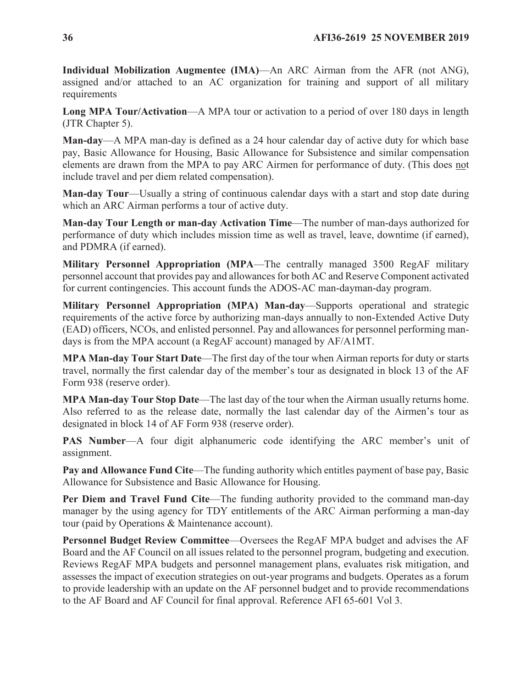**Individual Mobilization Augmentee (IMA)**—An ARC Airman from the AFR (not ANG), assigned and/or attached to an AC organization for training and support of all military requirements

**Long MPA Tour/Activation**—A MPA tour or activation to a period of over 180 days in length (JTR Chapter 5).

**Man-day**—A MPA man-day is defined as a 24 hour calendar day of active duty for which base pay, Basic Allowance for Housing, Basic Allowance for Subsistence and similar compensation elements are drawn from the MPA to pay ARC Airmen for performance of duty. (This does not include travel and per diem related compensation).

**Man-day Tour**—Usually a string of continuous calendar days with a start and stop date during which an ARC Airman performs a tour of active duty.

**Man-day Tour Length or man-day Activation Time**—The number of man-days authorized for performance of duty which includes mission time as well as travel, leave, downtime (if earned), and PDMRA (if earned).

**Military Personnel Appropriation (MPA**—The centrally managed 3500 RegAF military personnel account that provides pay and allowances for both AC and Reserve Component activated for current contingencies. This account funds the ADOS-AC man-dayman-day program.

**Military Personnel Appropriation (MPA) Man-day**—Supports operational and strategic requirements of the active force by authorizing man-days annually to non-Extended Active Duty (EAD) officers, NCOs, and enlisted personnel. Pay and allowances for personnel performing mandays is from the MPA account (a RegAF account) managed by AF/A1MT.

**MPA Man-day Tour Start Date**—The first day of the tour when Airman reports for duty or starts travel, normally the first calendar day of the member's tour as designated in block 13 of the AF Form 938 (reserve order).

**MPA Man-day Tour Stop Date**—The last day of the tour when the Airman usually returns home. Also referred to as the release date, normally the last calendar day of the Airmen's tour as designated in block 14 of AF Form 938 (reserve order).

**PAS Number—A** four digit alphanumeric code identifying the ARC member's unit of assignment.

**Pay and Allowance Fund Cite—The funding authority which entitles payment of base pay, Basic** Allowance for Subsistence and Basic Allowance for Housing.

**Per Diem and Travel Fund Cite—The funding authority provided to the command man-day** manager by the using agency for TDY entitlements of the ARC Airman performing a man-day tour (paid by Operations & Maintenance account).

**Personnel Budget Review Committee**—Oversees the RegAF MPA budget and advises the AF Board and the AF Council on all issues related to the personnel program, budgeting and execution. Reviews RegAF MPA budgets and personnel management plans, evaluates risk mitigation, and assesses the impact of execution strategies on out-year programs and budgets. Operates as a forum to provide leadership with an update on the AF personnel budget and to provide recommendations to the AF Board and AF Council for final approval. Reference AFI 65-601 Vol 3.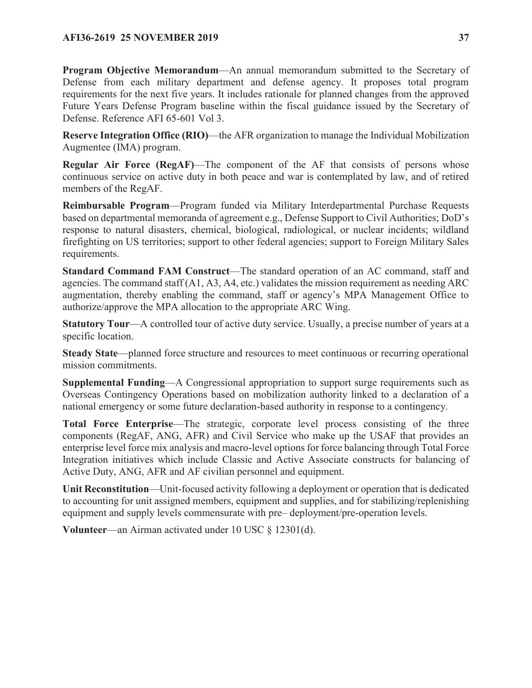### **AFI36-2619 25 NOVEMBER 2019 37**

**Program Objective Memorandum**—An annual memorandum submitted to the Secretary of Defense from each military department and defense agency. It proposes total program requirements for the next five years. It includes rationale for planned changes from the approved Future Years Defense Program baseline within the fiscal guidance issued by the Secretary of Defense. Reference AFI 65-601 Vol 3.

**Reserve Integration Office (RIO)—the AFR organization to manage the Individual Mobilization** Augmentee (IMA) program.

**Regular Air Force (RegAF)**—The component of the AF that consists of persons whose continuous service on active duty in both peace and war is contemplated by law, and of retired members of the RegAF.

**Reimbursable Program**—Program funded via Military Interdepartmental Purchase Requests based on departmental memoranda of agreement e.g., Defense Support to Civil Authorities; DoD's response to natural disasters, chemical, biological, radiological, or nuclear incidents; wildland firefighting on US territories; support to other federal agencies; support to Foreign Military Sales requirements.

**Standard Command FAM Construct**—The standard operation of an AC command, staff and agencies. The command staff (A1, A3, A4, etc.) validates the mission requirement as needing ARC augmentation, thereby enabling the command, staff or agency's MPA Management Office to authorize/approve the MPA allocation to the appropriate ARC Wing.

**Statutory Tour**—A controlled tour of active duty service. Usually, a precise number of years at a specific location.

**Steady State**—planned force structure and resources to meet continuous or recurring operational mission commitments.

**Supplemental Funding**—A Congressional appropriation to support surge requirements such as Overseas Contingency Operations based on mobilization authority linked to a declaration of a national emergency or some future declaration-based authority in response to a contingency.

**Total Force Enterprise**—The strategic, corporate level process consisting of the three components (RegAF, ANG, AFR) and Civil Service who make up the USAF that provides an enterprise level force mix analysis and macro-level options for force balancing through Total Force Integration initiatives which include Classic and Active Associate constructs for balancing of Active Duty, ANG, AFR and AF civilian personnel and equipment.

**Unit Reconstitution**—Unit-focused activity following a deployment or operation that is dedicated to accounting for unit assigned members, equipment and supplies, and for stabilizing/replenishing equipment and supply levels commensurate with pre– deployment/pre-operation levels.

**Volunteer**—an Airman activated under 10 USC § 12301(d).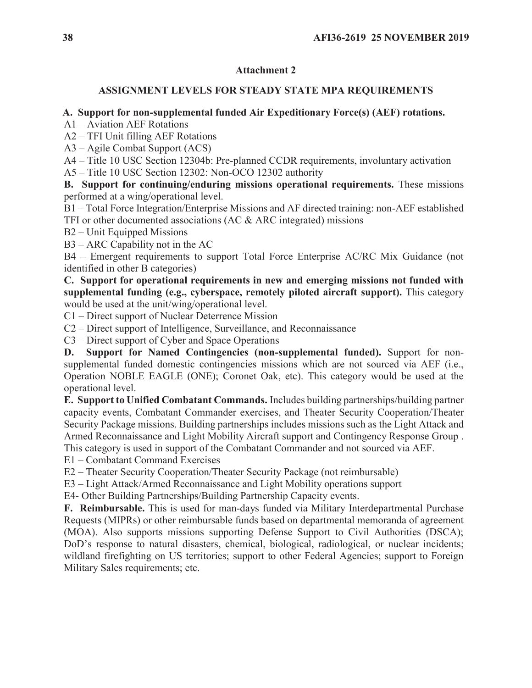# **Attachment 2**

# **ASSIGNMENT LEVELS FOR STEADY STATE MPA REQUIREMENTS**

**A. Support for non-supplemental funded Air Expeditionary Force(s) (AEF) rotations.** 

A1 – Aviation AEF Rotations

A2 – TFI Unit filling AEF Rotations

A3 – Agile Combat Support (ACS)

A4 – Title 10 USC Section 12304b: Pre-planned CCDR requirements, involuntary activation

A5 – Title 10 USC Section 12302: Non-OCO 12302 authority

**B. Support for continuing/enduring missions operational requirements.** These missions performed at a wing/operational level.

B1 – Total Force Integration/Enterprise Missions and AF directed training: non-AEF established TFI or other documented associations (AC & ARC integrated) missions

B2 – Unit Equipped Missions

B3 – ARC Capability not in the AC

B4 – Emergent requirements to support Total Force Enterprise AC/RC Mix Guidance (not identified in other B categories)

**C. Support for operational requirements in new and emerging missions not funded with supplemental funding (e.g., cyberspace, remotely piloted aircraft support).** This category would be used at the unit/wing/operational level.

C1 – Direct support of Nuclear Deterrence Mission

C2 – Direct support of Intelligence, Surveillance, and Reconnaissance

C3 – Direct support of Cyber and Space Operations

**D. Support for Named Contingencies (non-supplemental funded).** Support for nonsupplemental funded domestic contingencies missions which are not sourced via AEF (i.e., Operation NOBLE EAGLE (ONE); Coronet Oak, etc). This category would be used at the operational level.

**E. Support to Unified Combatant Commands.** Includes building partnerships/building partner capacity events, Combatant Commander exercises, and Theater Security Cooperation/Theater Security Package missions. Building partnerships includes missions such as the Light Attack and Armed Reconnaissance and Light Mobility Aircraft support and Contingency Response Group . This category is used in support of the Combatant Commander and not sourced via AEF.

E1 – Combatant Command Exercises

E2 – Theater Security Cooperation/Theater Security Package (not reimbursable)

E3 – Light Attack/Armed Reconnaissance and Light Mobility operations support

E4- Other Building Partnerships/Building Partnership Capacity events.

**F. Reimbursable.** This is used for man-days funded via Military Interdepartmental Purchase Requests (MIPRs) or other reimbursable funds based on departmental memoranda of agreement (MOA). Also supports missions supporting Defense Support to Civil Authorities (DSCA); DoD's response to natural disasters, chemical, biological, radiological, or nuclear incidents; wildland firefighting on US territories; support to other Federal Agencies; support to Foreign Military Sales requirements; etc.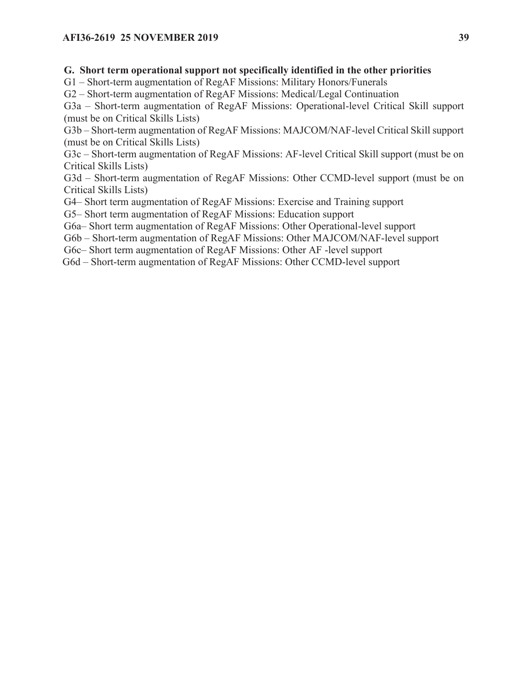### **G. Short term operational support not specifically identified in the other priorities**

G1 – Short-term augmentation of RegAF Missions: Military Honors/Funerals

G2 – Short-term augmentation of RegAF Missions: Medical/Legal Continuation

G3a – Short-term augmentation of RegAF Missions: Operational-level Critical Skill support (must be on Critical Skills Lists)

G3b – Short-term augmentation of RegAF Missions: MAJCOM/NAF-level Critical Skill support (must be on Critical Skills Lists)

G3c – Short-term augmentation of RegAF Missions: AF-level Critical Skill support (must be on Critical Skills Lists)

G3d – Short-term augmentation of RegAF Missions: Other CCMD-level support (must be on Critical Skills Lists)

G4– Short term augmentation of RegAF Missions: Exercise and Training support

G5– Short term augmentation of RegAF Missions: Education support

G6a– Short term augmentation of RegAF Missions: Other Operational-level support

G6b – Short-term augmentation of RegAF Missions: Other MAJCOM/NAF-level support

G6c– Short term augmentation of RegAF Missions: Other AF -level support

G6d – Short-term augmentation of RegAF Missions: Other CCMD-level support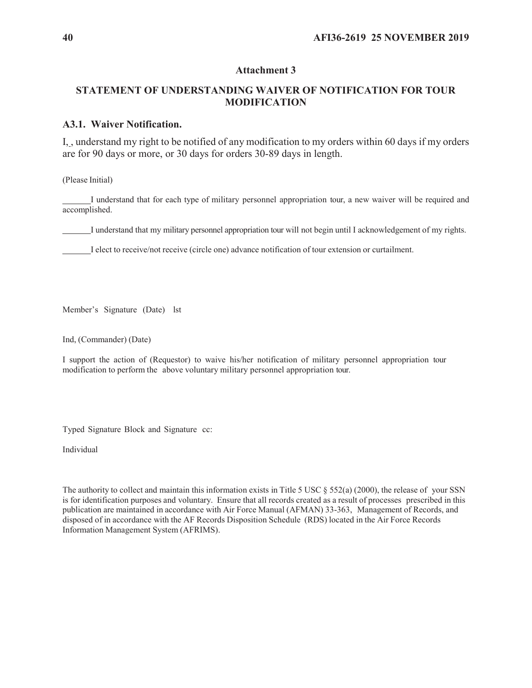#### **Attachment 3**

## **STATEMENT OF UNDERSTANDING WAIVER OF NOTIFICATION FOR TOUR MODIFICATION**

### **A3.1. Waiver Notification.**

I, , understand my right to be notified of any modification to my orders within 60 days if my orders are for 90 days or more, or 30 days for orders 30-89 days in length.

(Please Initial)

 I understand that for each type of military personnel appropriation tour, a new waiver will be required and accomplished.

I understand that my military personnel appropriation tour will not begin until I acknowledgement of my rights.

I elect to receive/not receive (circle one) advance notification of tour extension or curtailment.

Member's Signature (Date) lst

Ind, (Commander) (Date)

I support the action of (Requestor) to waive his/her notification of military personnel appropriation tour modification to perform the above voluntary military personnel appropriation tour.

Typed Signature Block and Signature cc:

Individual

The authority to collect and maintain this information exists in Title 5 USC  $\S$  552(a) (2000), the release of your SSN is for identification purposes and voluntary. Ensure that all records created as a result of processes prescribed in this publication are maintained in accordance with Air Force Manual (AFMAN) 33-363, Management of Records, and disposed of in accordance with the AF Records Disposition Schedule (RDS) located in the Air Force Records Information Management System (AFRIMS).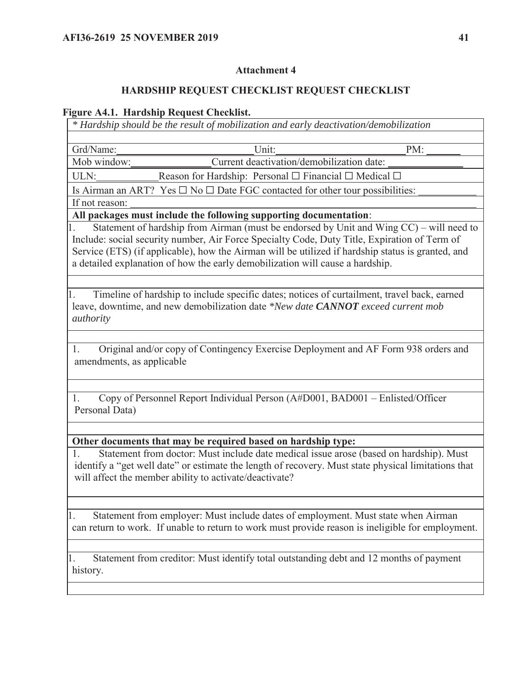# **Attachment 4**

# **HARDSHIP REQUEST CHECKLIST REQUEST CHECKLIST**

# **Figure A4.1. Hardship Request Checklist.**

|                                 | * Hardship should be the result of mobilization and early deactivation/demobilization                                                                                                                                                                                                                                                                                         |     |
|---------------------------------|-------------------------------------------------------------------------------------------------------------------------------------------------------------------------------------------------------------------------------------------------------------------------------------------------------------------------------------------------------------------------------|-----|
|                                 |                                                                                                                                                                                                                                                                                                                                                                               |     |
| Grd/Name:                       | Unit:                                                                                                                                                                                                                                                                                                                                                                         | PM: |
| Mob window:                     | Current deactivation/demobilization date:                                                                                                                                                                                                                                                                                                                                     |     |
| ULN:                            | Reason for Hardship: Personal $\Box$ Financial $\Box$ Medical $\Box$                                                                                                                                                                                                                                                                                                          |     |
|                                 | Is Airman an ART? Yes $\square$ No $\square$ Date FGC contacted for other tour possibilities:                                                                                                                                                                                                                                                                                 |     |
| If not reason:                  |                                                                                                                                                                                                                                                                                                                                                                               |     |
|                                 | All packages must include the following supporting documentation:                                                                                                                                                                                                                                                                                                             |     |
| 1.                              | Statement of hardship from Airman (must be endorsed by Unit and Wing CC) – will need to<br>Include: social security number, Air Force Specialty Code, Duty Title, Expiration of Term of<br>Service (ETS) (if applicable), how the Airman will be utilized if hardship status is granted, and<br>a detailed explanation of how the early demobilization will cause a hardship. |     |
| 1.<br>authority                 | Timeline of hardship to include specific dates; notices of curtailment, travel back, earned<br>leave, downtime, and new demobilization date *New date CANNOT exceed current mob                                                                                                                                                                                               |     |
| 1.<br>amendments, as applicable | Original and/or copy of Contingency Exercise Deployment and AF Form 938 orders and                                                                                                                                                                                                                                                                                            |     |
| 1.<br>Personal Data)            | Copy of Personnel Report Individual Person (A#D001, BAD001 – Enlisted/Officer                                                                                                                                                                                                                                                                                                 |     |
|                                 |                                                                                                                                                                                                                                                                                                                                                                               |     |
|                                 | Other documents that may be required based on hardship type:                                                                                                                                                                                                                                                                                                                  |     |
| 1.                              | Statement from doctor: Must include date medical issue arose (based on hardship). Must<br>identify a "get well date" or estimate the length of recovery. Must state physical limitations that<br>will affect the member ability to activate/deactivate?                                                                                                                       |     |
| 1.                              | Statement from employer: Must include dates of employment. Must state when Airman                                                                                                                                                                                                                                                                                             |     |
|                                 | can return to work. If unable to return to work must provide reason is ineligible for employment.                                                                                                                                                                                                                                                                             |     |
| l.<br>history.                  | Statement from creditor: Must identify total outstanding debt and 12 months of payment                                                                                                                                                                                                                                                                                        |     |
|                                 |                                                                                                                                                                                                                                                                                                                                                                               |     |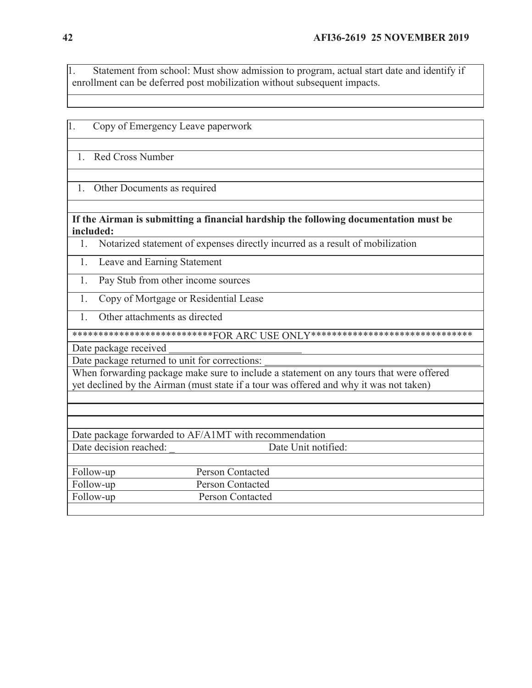1. Statement from school: Must show admission to program, actual start date and identify if enrollment can be deferred post mobilization without subsequent impacts.

1. Copy of Emergency Leave paperwork

1. Red Cross Number

1. Other Documents as required

**If the Airman is submitting a financial hardship the following documentation must be included:**

- 1. Notarized statement of expenses directly incurred as a result of mobilization
- 1. Leave and Earning Statement
- 1. Pay Stub from other income sources
- 1. Copy of Mortgage or Residential Lease
- 1. Other attachments as directed

\*\*\*\*\*\*\*\*\*\*\*\*\*\*\*\*\*\*\*\*\*\*\*\*\*\*\*FOR ARC USE ONLY\*\*\*\*\*\*\*\*\*\*\*\*\*\*\*\*\*\*\*\*\*\*\*\*\*\*\*\*\*\*\*

Date package received

Date package returned to unit for corrections:

When forwarding package make sure to include a statement on any tours that were offered yet declined by the Airman (must state if a tour was offered and why it was not taken)

Date package forwarded to AF/A1MT with recommendation Date decision reached: <br> Date Unit notified:

| Follow-up | Person Contacted |  |
|-----------|------------------|--|
| Follow-up | Person Contacted |  |
| Follow-up | Person Contacted |  |
|           |                  |  |